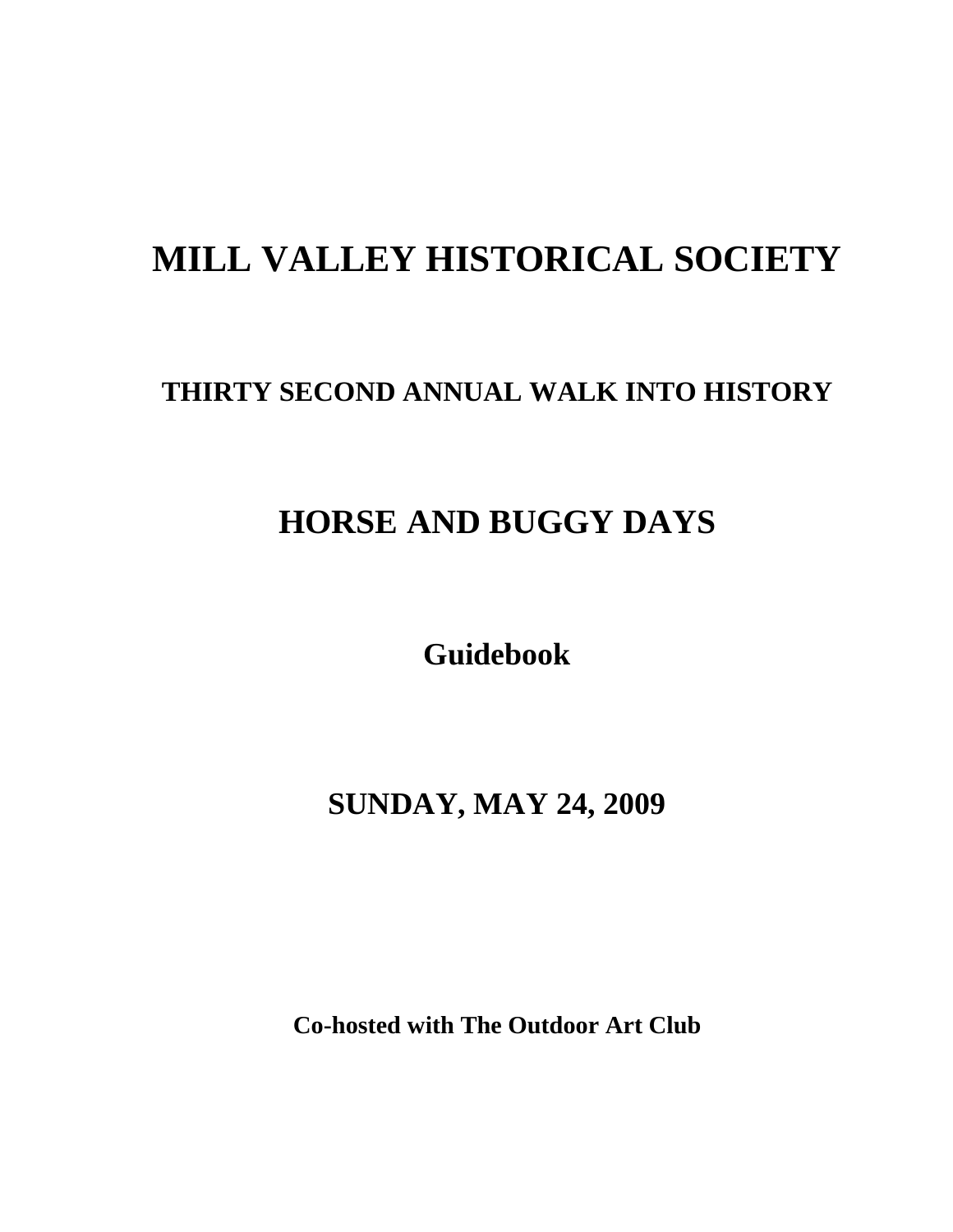# **MILL VALLEY HISTORICAL SOCIETY**

## **THIRTY SECOND ANNUAL WALK INTO HISTORY**

# **HORSE AND BUGGY DAYS**

**Guidebook**

**SUNDAY, MAY 24, 2009**

**Co-hosted with The Outdoor Art Club**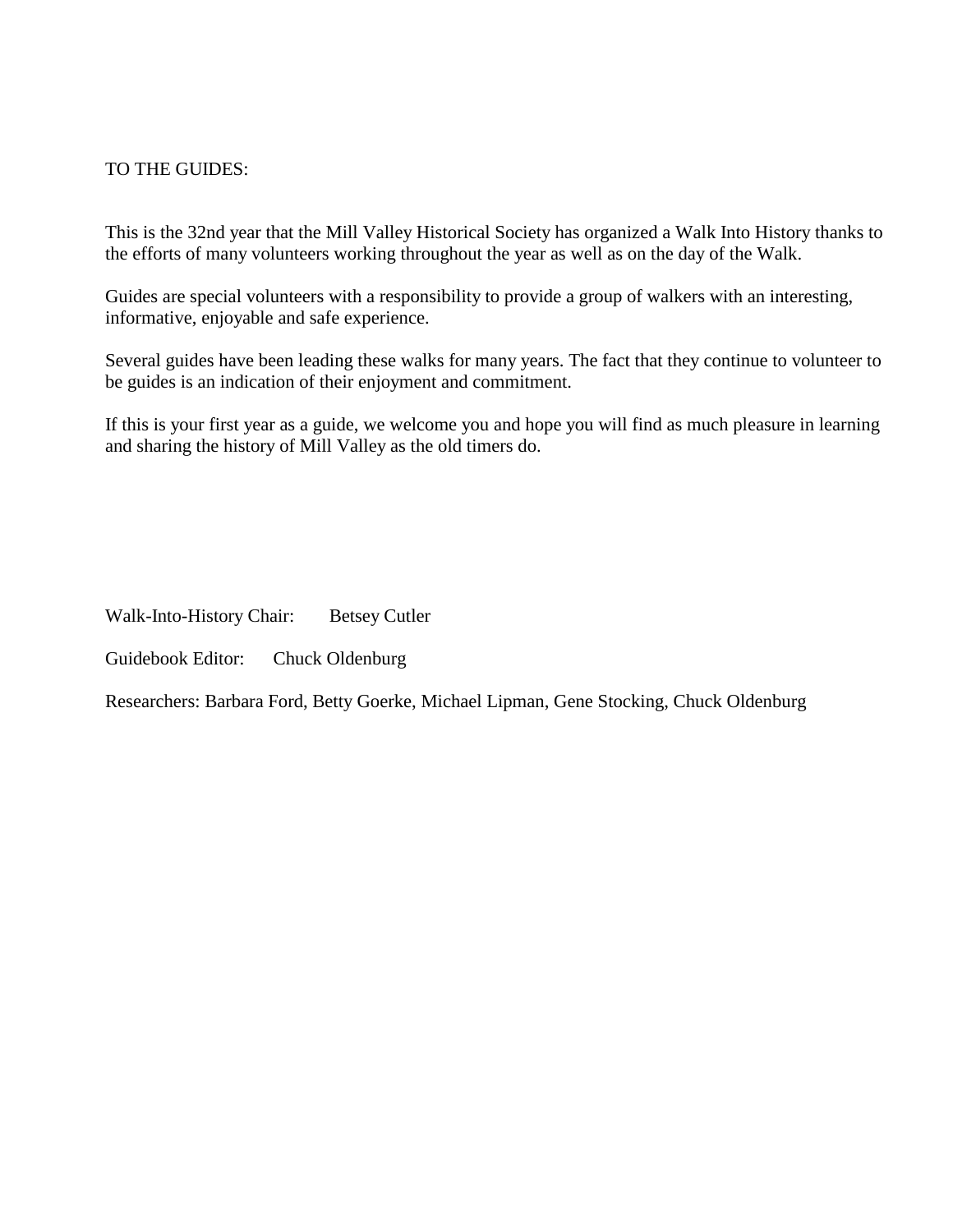#### TO THE GUIDES:

This is the 32nd year that the Mill Valley Historical Society has organized a Walk Into History thanks to the efforts of many volunteers working throughout the year as well as on the day of the Walk.

Guides are special volunteers with a responsibility to provide a group of walkers with an interesting, informative, enjoyable and safe experience.

Several guides have been leading these walks for many years. The fact that they continue to volunteer to be guides is an indication of their enjoyment and commitment.

If this is your first year as a guide, we welcome you and hope you will find as much pleasure in learning and sharing the history of Mill Valley as the old timers do.

Walk-Into-History Chair: Betsey Cutler

Guidebook Editor: Chuck Oldenburg

Researchers: Barbara Ford, Betty Goerke, Michael Lipman, Gene Stocking, Chuck Oldenburg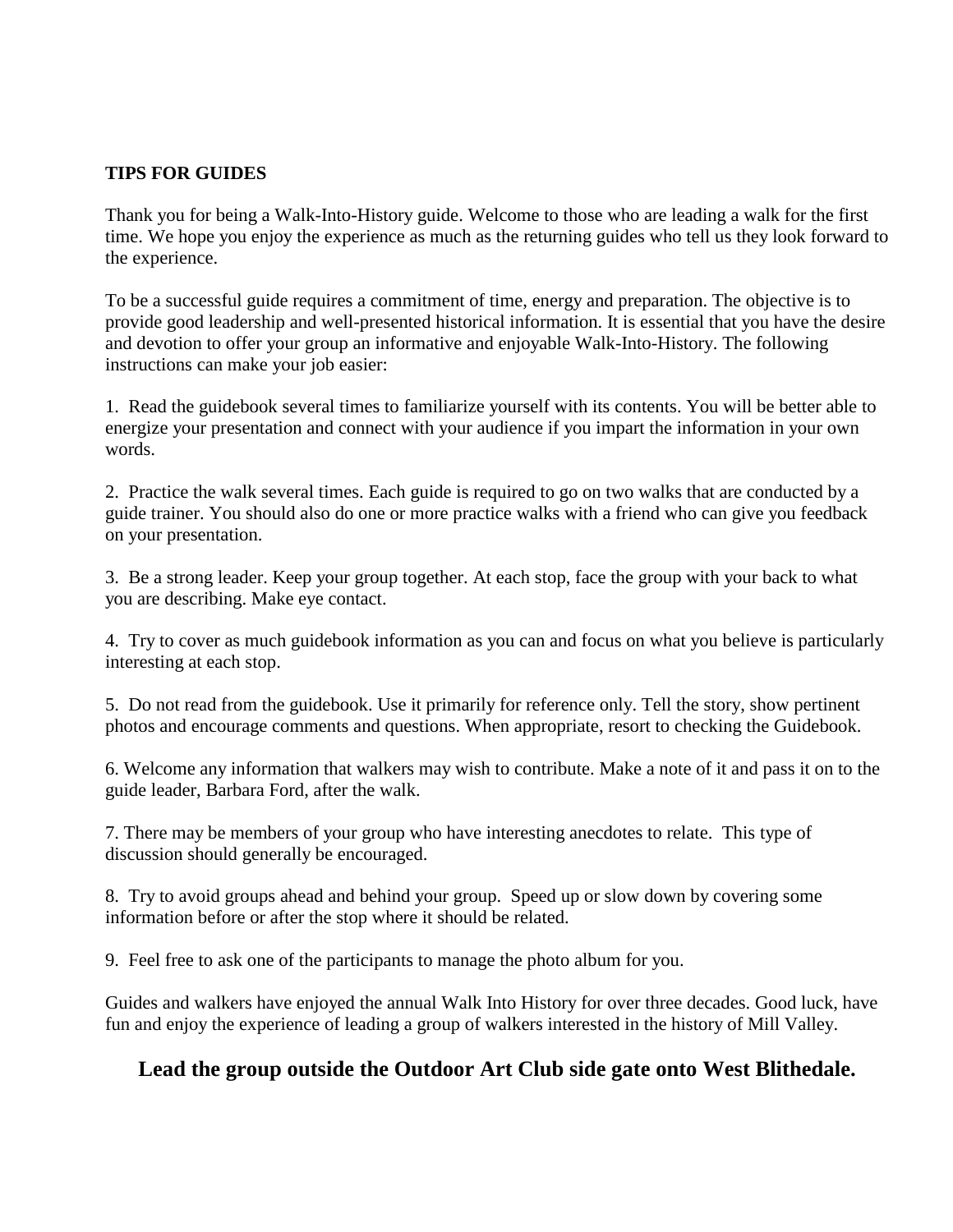#### **TIPS FOR GUIDES**

Thank you for being a Walk-Into-History guide. Welcome to those who are leading a walk for the first time. We hope you enjoy the experience as much as the returning guides who tell us they look forward to the experience.

To be a successful guide requires a commitment of time, energy and preparation. The objective is to provide good leadership and well-presented historical information. It is essential that you have the desire and devotion to offer your group an informative and enjoyable Walk-Into-History. The following instructions can make your job easier:

1. Read the guidebook several times to familiarize yourself with its contents. You will be better able to energize your presentation and connect with your audience if you impart the information in your own words.

2. Practice the walk several times. Each guide is required to go on two walks that are conducted by a guide trainer. You should also do one or more practice walks with a friend who can give you feedback on your presentation.

3. Be a strong leader. Keep your group together. At each stop, face the group with your back to what you are describing. Make eye contact.

4. Try to cover as much guidebook information as you can and focus on what you believe is particularly interesting at each stop.

5. Do not read from the guidebook. Use it primarily for reference only. Tell the story, show pertinent photos and encourage comments and questions. When appropriate, resort to checking the Guidebook.

6. Welcome any information that walkers may wish to contribute. Make a note of it and pass it on to the guide leader, Barbara Ford, after the walk.

7. There may be members of your group who have interesting anecdotes to relate. This type of discussion should generally be encouraged.

8. Try to avoid groups ahead and behind your group. Speed up or slow down by covering some information before or after the stop where it should be related.

9. Feel free to ask one of the participants to manage the photo album for you.

Guides and walkers have enjoyed the annual Walk Into History for over three decades. Good luck, have fun and enjoy the experience of leading a group of walkers interested in the history of Mill Valley.

### **Lead the group outside the Outdoor Art Club side gate onto West Blithedale.**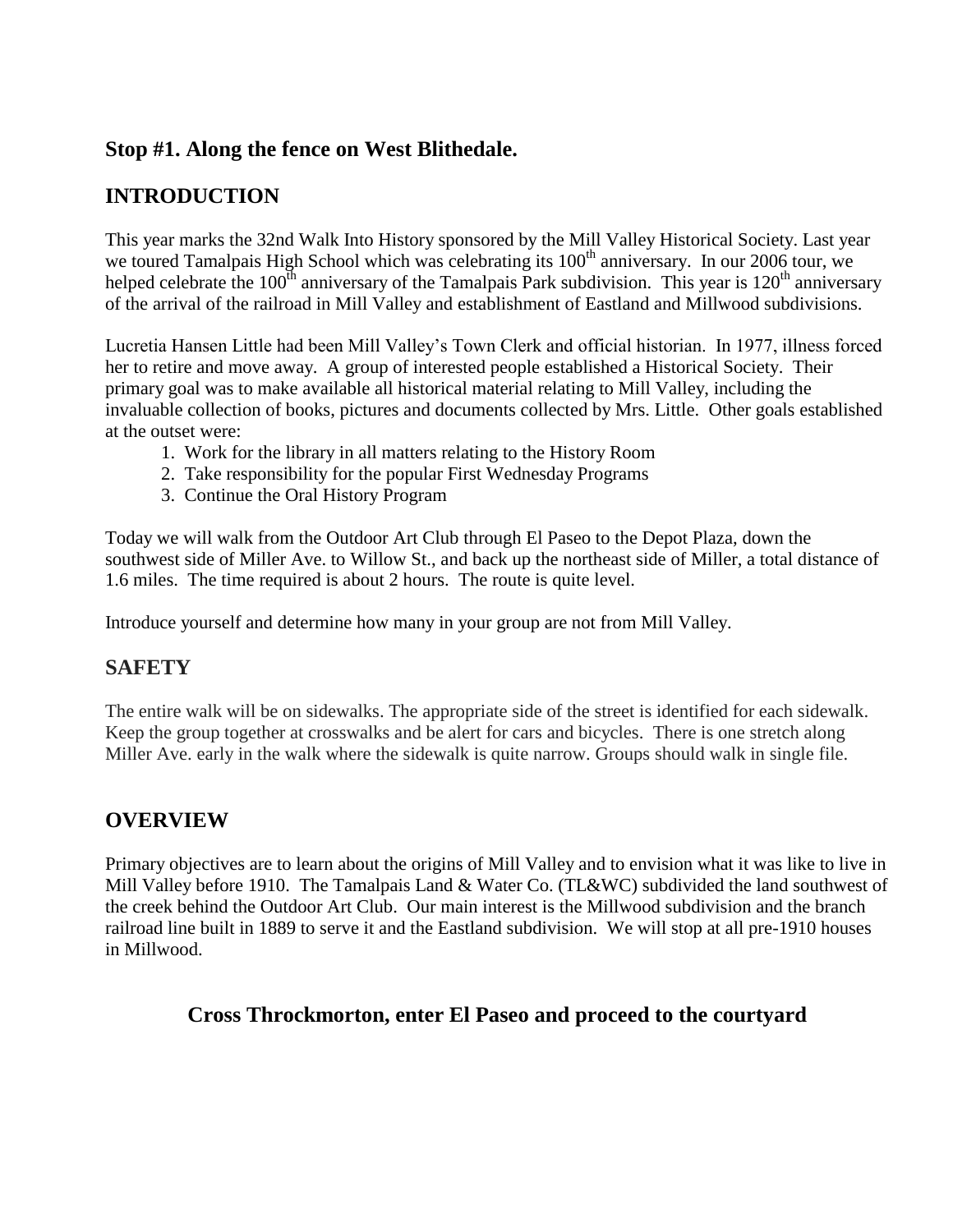#### **Stop #1. Along the fence on West Blithedale.**

## **INTRODUCTION**

This year marks the 32nd Walk Into History sponsored by the Mill Valley Historical Society. Last year we toured Tamalpais High School which was celebrating its  $100<sup>th</sup>$  anniversary. In our 2006 tour, we helped celebrate the 100<sup>th</sup> anniversary of the Tamalpais Park subdivision. This year is 120<sup>th</sup> anniversary of the arrival of the railroad in Mill Valley and establishment of Eastland and Millwood subdivisions.

Lucretia Hansen Little had been Mill Valley's Town Clerk and official historian. In 1977, illness forced her to retire and move away. A group of interested people established a Historical Society. Their primary goal was to make available all historical material relating to Mill Valley, including the invaluable collection of books, pictures and documents collected by Mrs. Little. Other goals established at the outset were:

- 1. Work for the library in all matters relating to the History Room
- 2. Take responsibility for the popular First Wednesday Programs
- 3. Continue the Oral History Program

Today we will walk from the Outdoor Art Club through El Paseo to the Depot Plaza, down the southwest side of Miller Ave. to Willow St., and back up the northeast side of Miller, a total distance of 1.6 miles. The time required is about 2 hours. The route is quite level.

Introduce yourself and determine how many in your group are not from Mill Valley.

#### **SAFETY**

The entire walk will be on sidewalks. The appropriate side of the street is identified for each sidewalk. Keep the group together at crosswalks and be alert for cars and bicycles. There is one stretch along Miller Ave. early in the walk where the sidewalk is quite narrow. Groups should walk in single file.

#### **OVERVIEW**

Primary objectives are to learn about the origins of Mill Valley and to envision what it was like to live in Mill Valley before 1910. The Tamalpais Land & Water Co. (TL&WC) subdivided the land southwest of the creek behind the Outdoor Art Club. Our main interest is the Millwood subdivision and the branch railroad line built in 1889 to serve it and the Eastland subdivision. We will stop at all pre-1910 houses in Millwood.

#### **Cross Throckmorton, enter El Paseo and proceed to the courtyard**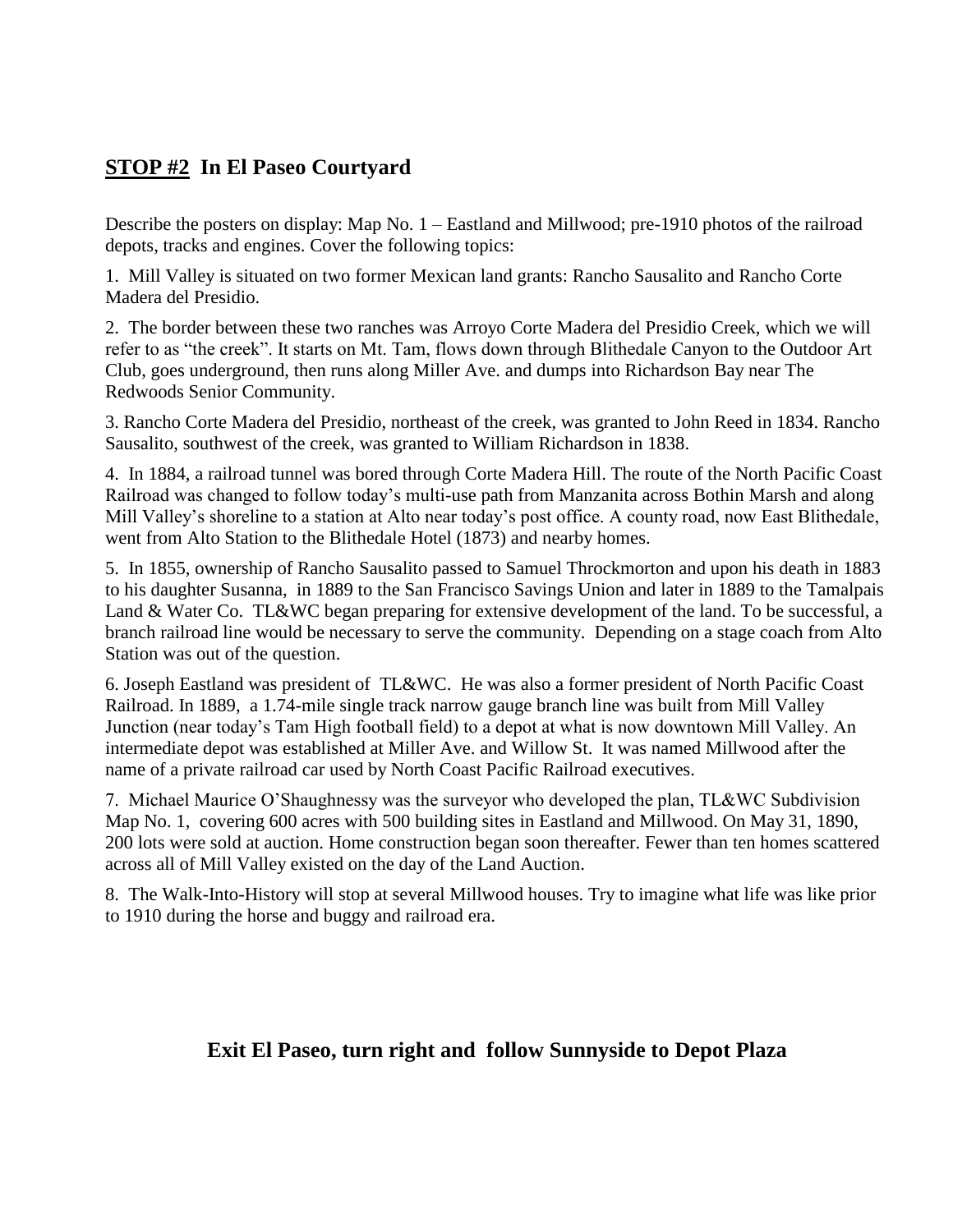#### **STOP #2 In El Paseo Courtyard**

Describe the posters on display: Map No. 1 – Eastland and Millwood; pre-1910 photos of the railroad depots, tracks and engines. Cover the following topics:

1. Mill Valley is situated on two former Mexican land grants: Rancho Sausalito and Rancho Corte Madera del Presidio.

2. The border between these two ranches was Arroyo Corte Madera del Presidio Creek, which we will refer to as "the creek". It starts on Mt. Tam, flows down through Blithedale Canyon to the Outdoor Art Club, goes underground, then runs along Miller Ave. and dumps into Richardson Bay near The Redwoods Senior Community.

3. Rancho Corte Madera del Presidio, northeast of the creek, was granted to John Reed in 1834. Rancho Sausalito, southwest of the creek, was granted to William Richardson in 1838.

4. In 1884, a railroad tunnel was bored through Corte Madera Hill. The route of the North Pacific Coast Railroad was changed to follow today's multi-use path from Manzanita across Bothin Marsh and along Mill Valley's shoreline to a station at Alto near today's post office. A county road, now East Blithedale, went from Alto Station to the Blithedale Hotel (1873) and nearby homes.

5. In 1855, ownership of Rancho Sausalito passed to Samuel Throckmorton and upon his death in 1883 to his daughter Susanna, in 1889 to the San Francisco Savings Union and later in 1889 to the Tamalpais Land & Water Co. TL&WC began preparing for extensive development of the land. To be successful, a branch railroad line would be necessary to serve the community. Depending on a stage coach from Alto Station was out of the question.

6. Joseph Eastland was president of TL&WC. He was also a former president of North Pacific Coast Railroad. In 1889, a 1.74-mile single track narrow gauge branch line was built from Mill Valley Junction (near today's Tam High football field) to a depot at what is now downtown Mill Valley. An intermediate depot was established at Miller Ave. and Willow St. It was named Millwood after the name of a private railroad car used by North Coast Pacific Railroad executives.

7. Michael Maurice O'Shaughnessy was the surveyor who developed the plan, TL&WC Subdivision Map No. 1, covering 600 acres with 500 building sites in Eastland and Millwood. On May 31, 1890, 200 lots were sold at auction. Home construction began soon thereafter. Fewer than ten homes scattered across all of Mill Valley existed on the day of the Land Auction.

8. The Walk-Into-History will stop at several Millwood houses. Try to imagine what life was like prior to 1910 during the horse and buggy and railroad era.

### **Exit El Paseo, turn right and follow Sunnyside to Depot Plaza**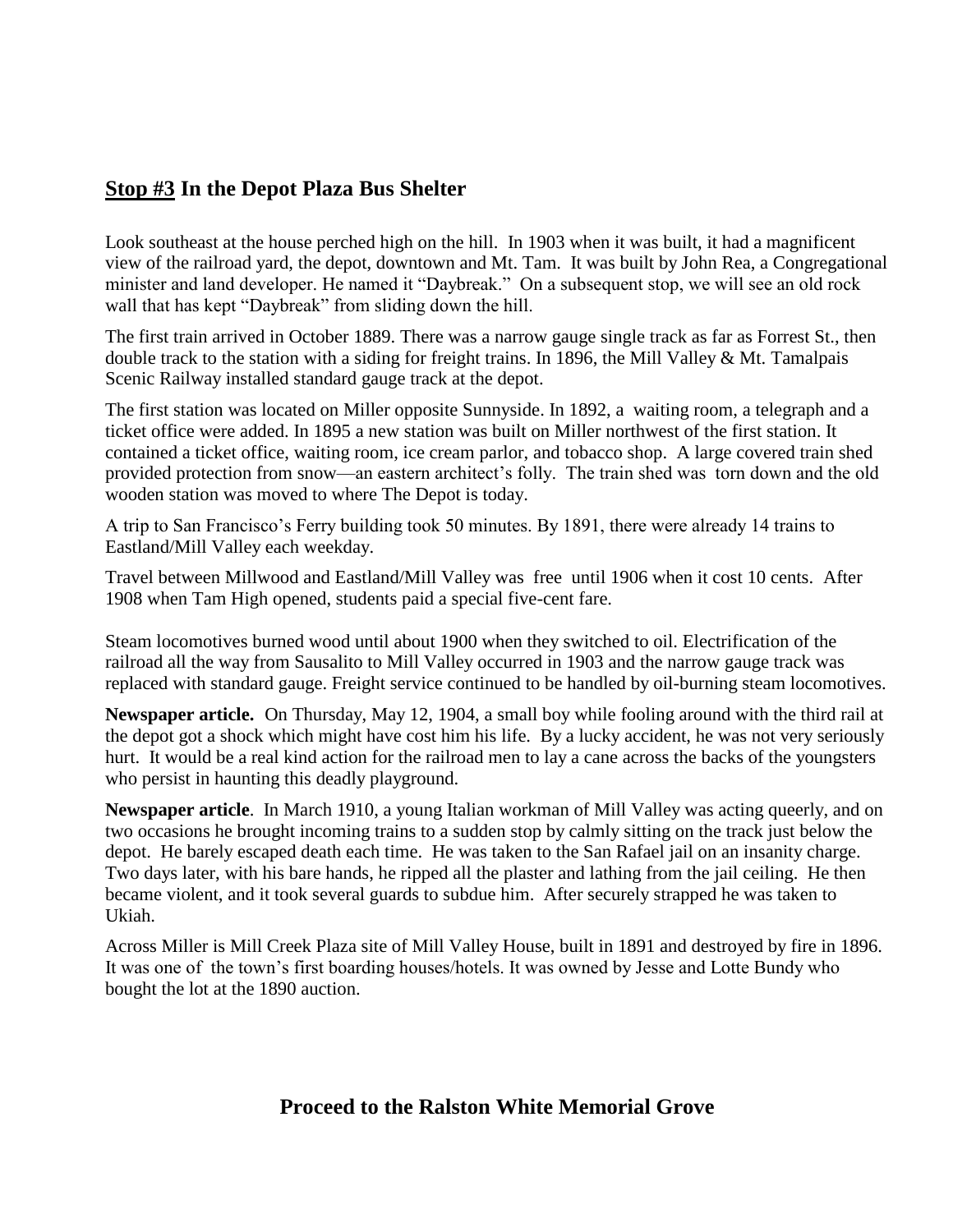#### **Stop #3 In the Depot Plaza Bus Shelter**

Look southeast at the house perched high on the hill. In 1903 when it was built, it had a magnificent view of the railroad yard, the depot, downtown and Mt. Tam. It was built by John Rea, a Congregational minister and land developer. He named it "Daybreak." On a subsequent stop, we will see an old rock wall that has kept "Daybreak" from sliding down the hill.

The first train arrived in October 1889. There was a narrow gauge single track as far as Forrest St., then double track to the station with a siding for freight trains. In 1896, the Mill Valley & Mt. Tamalpais Scenic Railway installed standard gauge track at the depot.

The first station was located on Miller opposite Sunnyside. In 1892, a waiting room, a telegraph and a ticket office were added. In 1895 a new station was built on Miller northwest of the first station. It contained a ticket office, waiting room, ice cream parlor, and tobacco shop. A large covered train shed provided protection from snow—an eastern architect's folly. The train shed was torn down and the old wooden station was moved to where The Depot is today.

A trip to San Francisco's Ferry building took 50 minutes. By 1891, there were already 14 trains to Eastland/Mill Valley each weekday.

Travel between Millwood and Eastland/Mill Valley was free until 1906 when it cost 10 cents. After 1908 when Tam High opened, students paid a special five-cent fare.

Steam locomotives burned wood until about 1900 when they switched to oil. Electrification of the railroad all the way from Sausalito to Mill Valley occurred in 1903 and the narrow gauge track was replaced with standard gauge. Freight service continued to be handled by oil-burning steam locomotives.

**Newspaper article.** On Thursday, May 12, 1904, a small boy while fooling around with the third rail at the depot got a shock which might have cost him his life. By a lucky accident, he was not very seriously hurt. It would be a real kind action for the railroad men to lay a cane across the backs of the youngsters who persist in haunting this deadly playground.

**Newspaper article**. In March 1910, a young Italian workman of Mill Valley was acting queerly, and on two occasions he brought incoming trains to a sudden stop by calmly sitting on the track just below the depot. He barely escaped death each time. He was taken to the San Rafael jail on an insanity charge. Two days later, with his bare hands, he ripped all the plaster and lathing from the jail ceiling. He then became violent, and it took several guards to subdue him. After securely strapped he was taken to Ukiah.

Across Miller is Mill Creek Plaza site of Mill Valley House, built in 1891 and destroyed by fire in 1896. It was one of the town's first boarding houses/hotels. It was owned by Jesse and Lotte Bundy who bought the lot at the 1890 auction.

#### **Proceed to the Ralston White Memorial Grove**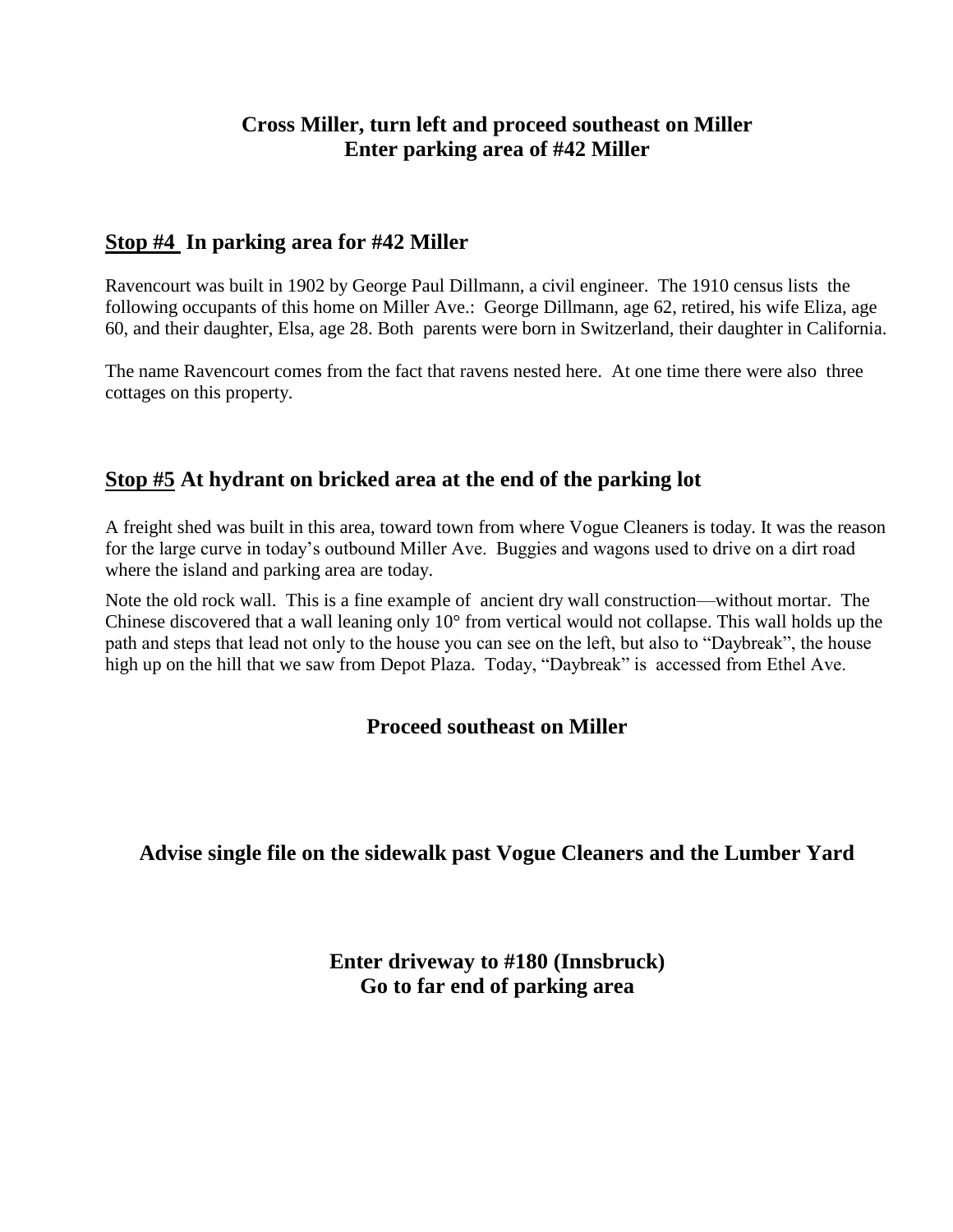#### **Cross Miller, turn left and proceed southeast on Miller Enter parking area of #42 Miller**

#### **Stop #4 In parking area for #42 Miller**

Ravencourt was built in 1902 by George Paul Dillmann, a civil engineer. The 1910 census lists the following occupants of this home on Miller Ave.: George Dillmann, age 62, retired, his wife Eliza, age 60, and their daughter, Elsa, age 28. Both parents were born in Switzerland, their daughter in California.

The name Ravencourt comes from the fact that ravens nested here. At one time there were also three cottages on this property.

#### **Stop #5 At hydrant on bricked area at the end of the parking lot**

A freight shed was built in this area, toward town from where Vogue Cleaners is today. It was the reason for the large curve in today's outbound Miller Ave. Buggies and wagons used to drive on a dirt road where the island and parking area are today.

Note the old rock wall. This is a fine example of ancient dry wall construction—without mortar. The Chinese discovered that a wall leaning only 10° from vertical would not collapse. This wall holds up the path and steps that lead not only to the house you can see on the left, but also to "Daybreak", the house high up on the hill that we saw from Depot Plaza. Today, "Daybreak" is accessed from Ethel Ave.

#### **Proceed southeast on Miller**

### **Advise single file on the sidewalk past Vogue Cleaners and the Lumber Yard**

**Enter driveway to #180 (Innsbruck) Go to far end of parking area**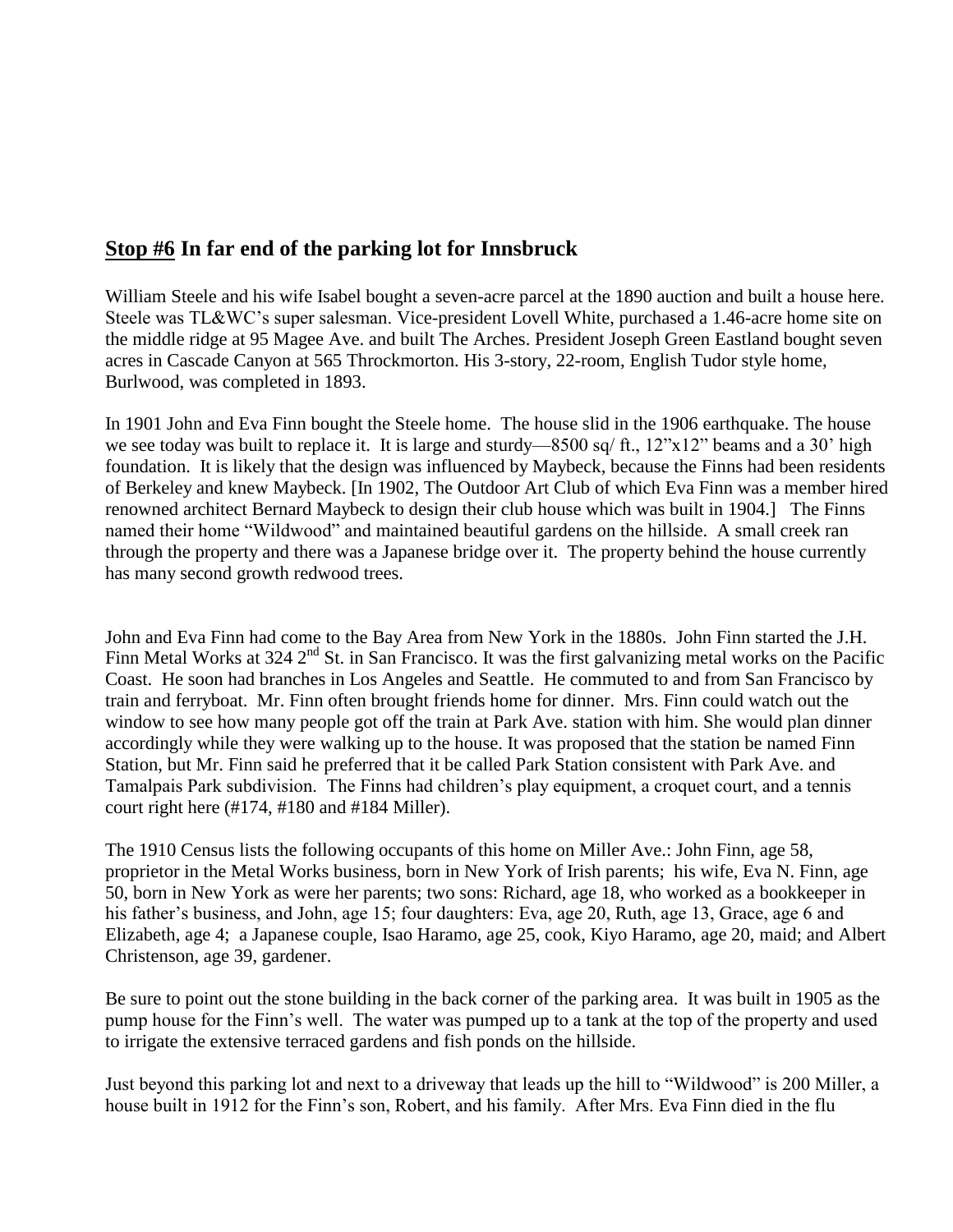#### **Stop #6 In far end of the parking lot for Innsbruck**

William Steele and his wife Isabel bought a seven-acre parcel at the 1890 auction and built a house here. Steele was TL&WC's super salesman. Vice-president Lovell White, purchased a 1.46-acre home site on the middle ridge at 95 Magee Ave. and built The Arches. President Joseph Green Eastland bought seven acres in Cascade Canyon at 565 Throckmorton. His 3-story, 22-room, English Tudor style home, Burlwood, was completed in 1893.

In 1901 John and Eva Finn bought the Steele home. The house slid in the 1906 earthquake. The house we see today was built to replace it. It is large and sturdy—8500 sq/ ft.,  $12$ "x $12$ " beams and a 30' high foundation. It is likely that the design was influenced by Maybeck, because the Finns had been residents of Berkeley and knew Maybeck. [In 1902, The Outdoor Art Club of which Eva Finn was a member hired renowned architect Bernard Maybeck to design their club house which was built in 1904.] The Finns named their home "Wildwood" and maintained beautiful gardens on the hillside. A small creek ran through the property and there was a Japanese bridge over it. The property behind the house currently has many second growth redwood trees.

John and Eva Finn had come to the Bay Area from New York in the 1880s. John Finn started the J.H. Finn Metal Works at 324  $2<sup>nd</sup>$  St. in San Francisco. It was the first galvanizing metal works on the Pacific Coast. He soon had branches in Los Angeles and Seattle. He commuted to and from San Francisco by train and ferryboat. Mr. Finn often brought friends home for dinner. Mrs. Finn could watch out the window to see how many people got off the train at Park Ave. station with him. She would plan dinner accordingly while they were walking up to the house. It was proposed that the station be named Finn Station, but Mr. Finn said he preferred that it be called Park Station consistent with Park Ave. and Tamalpais Park subdivision. The Finns had children's play equipment, a croquet court, and a tennis court right here (#174, #180 and #184 Miller).

The 1910 Census lists the following occupants of this home on Miller Ave.: John Finn, age 58, proprietor in the Metal Works business, born in New York of Irish parents; his wife, Eva N. Finn, age 50, born in New York as were her parents; two sons: Richard, age 18, who worked as a bookkeeper in his father's business, and John, age 15; four daughters: Eva, age 20, Ruth, age 13, Grace, age 6 and Elizabeth, age 4; a Japanese couple, Isao Haramo, age 25, cook, Kiyo Haramo, age 20, maid; and Albert Christenson, age 39, gardener.

Be sure to point out the stone building in the back corner of the parking area. It was built in 1905 as the pump house for the Finn's well. The water was pumped up to a tank at the top of the property and used to irrigate the extensive terraced gardens and fish ponds on the hillside.

Just beyond this parking lot and next to a driveway that leads up the hill to "Wildwood" is 200 Miller, a house built in 1912 for the Finn's son, Robert, and his family. After Mrs. Eva Finn died in the flu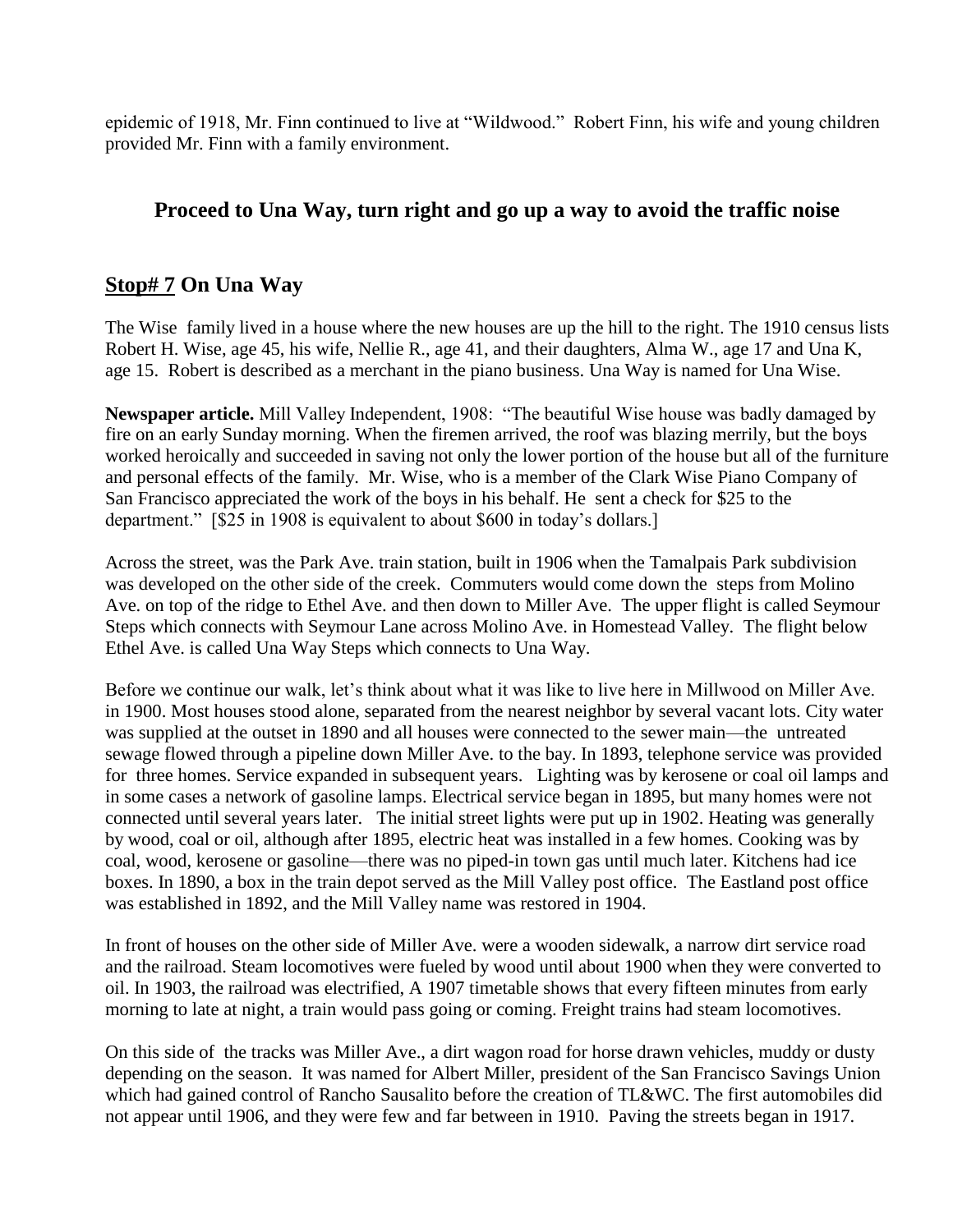epidemic of 1918, Mr. Finn continued to live at "Wildwood." Robert Finn, his wife and young children provided Mr. Finn with a family environment.

#### **Proceed to Una Way, turn right and go up a way to avoid the traffic noise**

#### **Stop# 7 On Una Way**

The Wise family lived in a house where the new houses are up the hill to the right. The 1910 census lists Robert H. Wise, age 45, his wife, Nellie R., age 41, and their daughters, Alma W., age 17 and Una K, age 15. Robert is described as a merchant in the piano business. Una Way is named for Una Wise.

Newspaper article. Mill Valley Independent, 1908: "The beautiful Wise house was badly damaged by fire on an early Sunday morning. When the firemen arrived, the roof was blazing merrily, but the boys worked heroically and succeeded in saving not only the lower portion of the house but all of the furniture and personal effects of the family. Mr. Wise, who is a member of the Clark Wise Piano Company of San Francisco appreciated the work of the boys in his behalf. He sent a check for \$25 to the department." [\$25 in 1908 is equivalent to about \$600 in today's dollars.]

Across the street, was the Park Ave. train station, built in 1906 when the Tamalpais Park subdivision was developed on the other side of the creek. Commuters would come down the steps from Molino Ave. on top of the ridge to Ethel Ave. and then down to Miller Ave. The upper flight is called Seymour Steps which connects with Seymour Lane across Molino Ave. in Homestead Valley. The flight below Ethel Ave. is called Una Way Steps which connects to Una Way.

Before we continue our walk, let's think about what it was like to live here in Millwood on Miller Ave. in 1900. Most houses stood alone, separated from the nearest neighbor by several vacant lots. City water was supplied at the outset in 1890 and all houses were connected to the sewer main—the untreated sewage flowed through a pipeline down Miller Ave. to the bay. In 1893, telephone service was provided for three homes. Service expanded in subsequent years. Lighting was by kerosene or coal oil lamps and in some cases a network of gasoline lamps. Electrical service began in 1895, but many homes were not connected until several years later. The initial street lights were put up in 1902. Heating was generally by wood, coal or oil, although after 1895, electric heat was installed in a few homes. Cooking was by coal, wood, kerosene or gasoline—there was no piped-in town gas until much later. Kitchens had ice boxes. In 1890, a box in the train depot served as the Mill Valley post office. The Eastland post office was established in 1892, and the Mill Valley name was restored in 1904.

In front of houses on the other side of Miller Ave. were a wooden sidewalk, a narrow dirt service road and the railroad. Steam locomotives were fueled by wood until about 1900 when they were converted to oil. In 1903, the railroad was electrified, A 1907 timetable shows that every fifteen minutes from early morning to late at night, a train would pass going or coming. Freight trains had steam locomotives.

On this side of the tracks was Miller Ave., a dirt wagon road for horse drawn vehicles, muddy or dusty depending on the season. It was named for Albert Miller, president of the San Francisco Savings Union which had gained control of Rancho Sausalito before the creation of TL&WC. The first automobiles did not appear until 1906, and they were few and far between in 1910. Paving the streets began in 1917.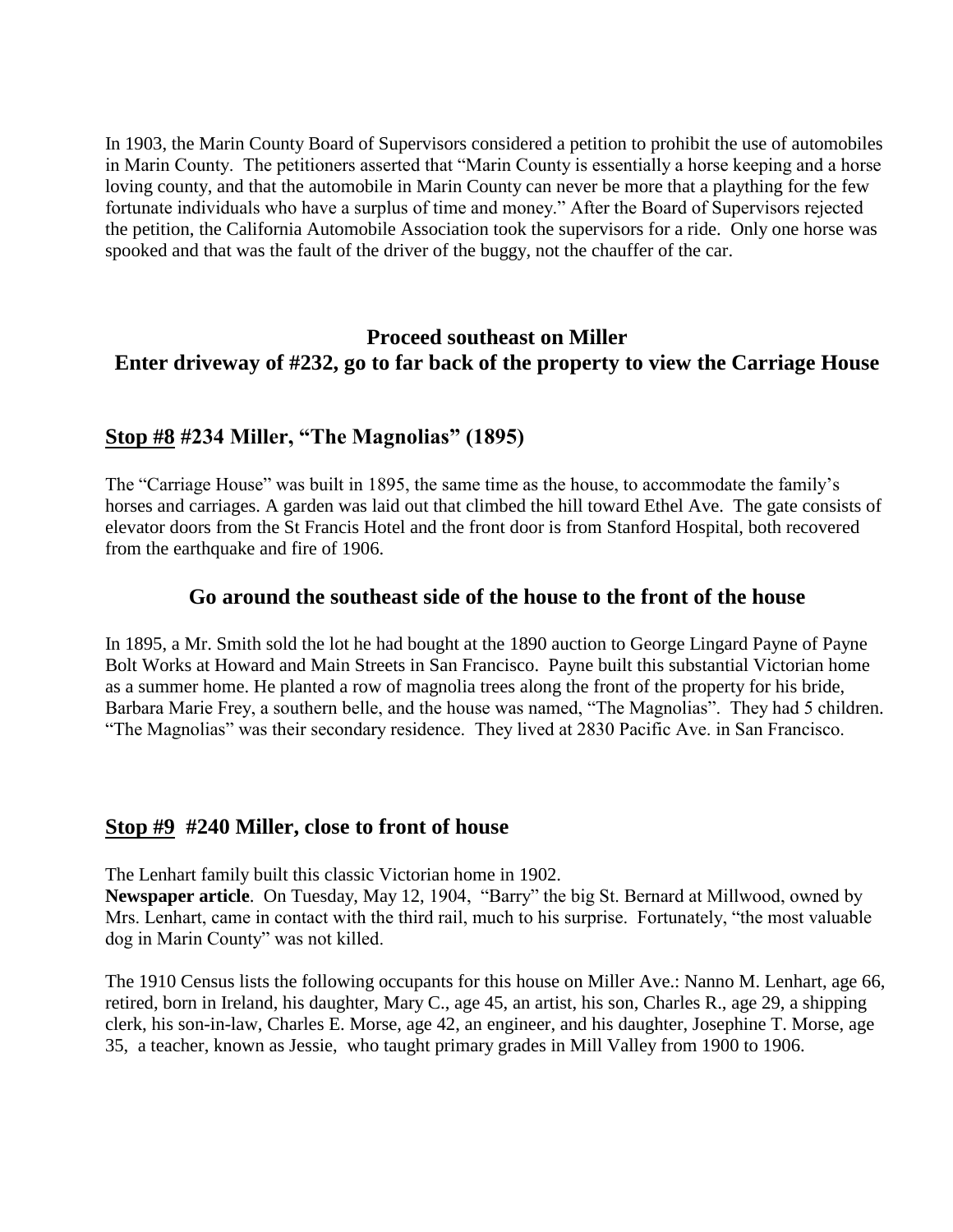In 1903, the Marin County Board of Supervisors considered a petition to prohibit the use of automobiles in Marin County. The petitioners asserted that "Marin County is essentially a horse keeping and a horse loving county, and that the automobile in Marin County can never be more that a plaything for the few fortunate individuals who have a surplus of time and money." After the Board of Supervisors rejected the petition, the California Automobile Association took the supervisors for a ride. Only one horse was spooked and that was the fault of the driver of the buggy, not the chauffer of the car.

#### **Proceed southeast on Miller Enter driveway of #232, go to far back of the property to view the Carriage House**

#### **Stop #8 #234 Miller, "The Magnolias" (1895)**

The "Carriage House" was built in 1895, the same time as the house, to accommodate the family's horses and carriages. A garden was laid out that climbed the hill toward Ethel Ave. The gate consists of elevator doors from the St Francis Hotel and the front door is from Stanford Hospital, both recovered from the earthquake and fire of 1906.

#### **Go around the southeast side of the house to the front of the house**

In 1895, a Mr. Smith sold the lot he had bought at the 1890 auction to George Lingard Payne of Payne Bolt Works at Howard and Main Streets in San Francisco. Payne built this substantial Victorian home as a summer home. He planted a row of magnolia trees along the front of the property for his bride, Barbara Marie Frey, a southern belle, and the house was named, "The Magnolias". They had 5 children. "The Magnolias" was their secondary residence. They lived at 2830 Pacific Ave. in San Francisco.

#### **Stop #9 #240 Miller, close to front of house**

The Lenhart family built this classic Victorian home in 1902.

Newspaper article. On Tuesday, May 12, 1904, "Barry" the big St. Bernard at Millwood, owned by Mrs. Lenhart, came in contact with the third rail, much to his surprise. Fortunately, "the most valuable" dog in Marin County" was not killed.

The 1910 Census lists the following occupants for this house on Miller Ave.: Nanno M. Lenhart, age 66, retired, born in Ireland, his daughter, Mary C., age 45, an artist, his son, Charles R., age 29, a shipping clerk, his son-in-law, Charles E. Morse, age 42, an engineer, and his daughter, Josephine T. Morse, age 35, a teacher, known as Jessie, who taught primary grades in Mill Valley from 1900 to 1906.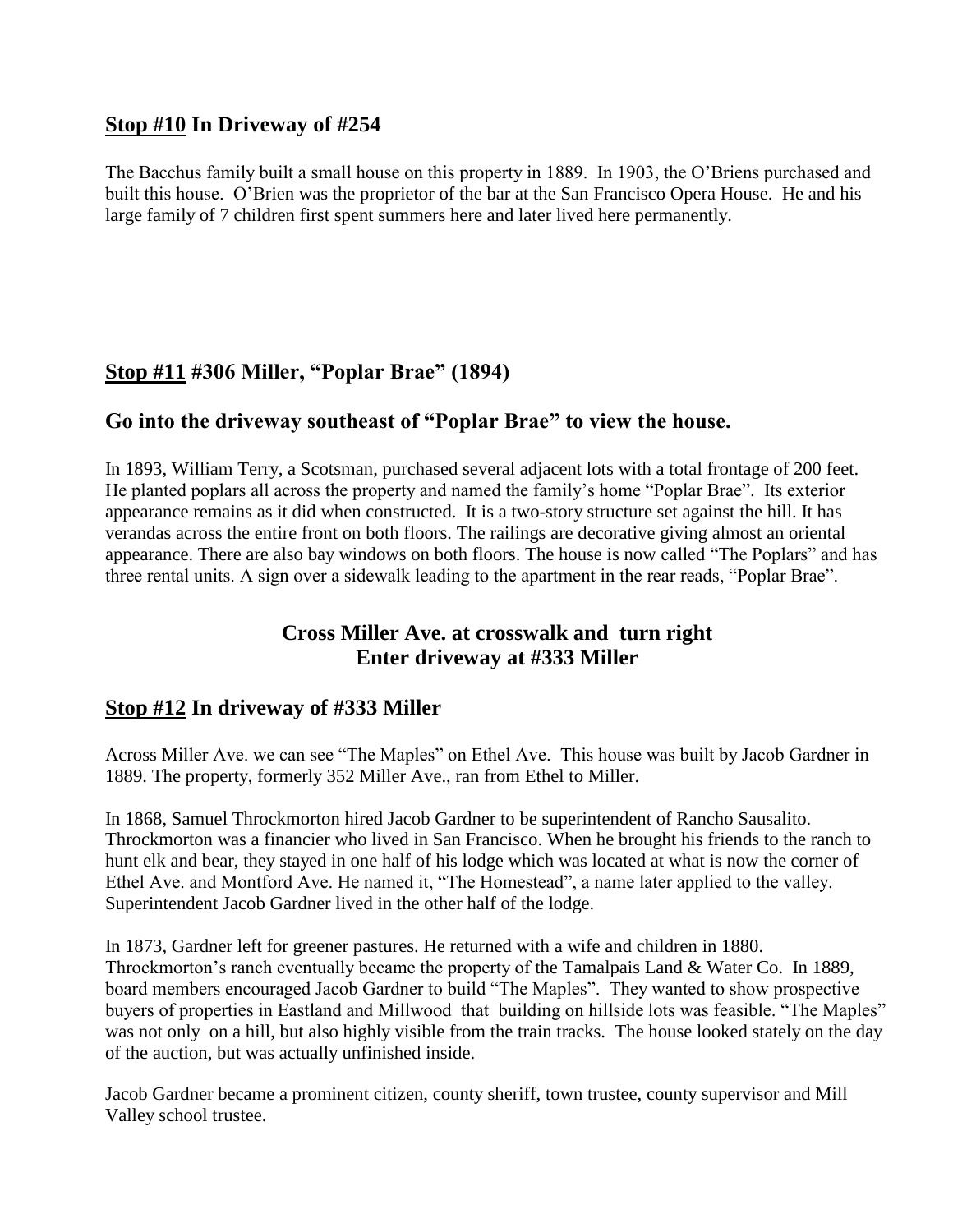#### **Stop #10 In Driveway of #254**

The Bacchus family built a small house on this property in 1889. In 1903, the O'Briens purchased and built this house. O'Brien was the proprietor of the bar at the San Francisco Opera House. He and his large family of 7 children first spent summers here and later lived here permanently.

#### **Stop #11 #306 Miller, "Poplar Brae" (1894)**

#### **Go into the driveway southeast of "Poplar Brae" to view the house.**

In 1893, William Terry, a Scotsman, purchased several adjacent lots with a total frontage of 200 feet. He planted poplars all across the property and named the family's home "Poplar Brae". Its exterior appearance remains as it did when constructed. It is a two-story structure set against the hill. It has verandas across the entire front on both floors. The railings are decorative giving almost an oriental appearance. There are also bay windows on both floors. The house is now called "The Poplars" and has three rental units. A sign over a sidewalk leading to the apartment in the rear reads, "Poplar Brae".

#### **Cross Miller Ave. at crosswalk and turn right Enter driveway at #333 Miller**

#### **Stop #12 In driveway of #333 Miller**

Across Miller Ave. we can see "The Maples" on Ethel Ave. This house was built by Jacob Gardner in 1889. The property, formerly 352 Miller Ave., ran from Ethel to Miller.

In 1868, Samuel Throckmorton hired Jacob Gardner to be superintendent of Rancho Sausalito. Throckmorton was a financier who lived in San Francisco. When he brought his friends to the ranch to hunt elk and bear, they stayed in one half of his lodge which was located at what is now the corner of Ethel Ave. and Montford Ave. He named it, "The Homestead", a name later applied to the valley. Superintendent Jacob Gardner lived in the other half of the lodge.

In 1873, Gardner left for greener pastures. He returned with a wife and children in 1880. Throckmorton's ranch eventually became the property of the Tamalpais Land & Water Co. In 1889, board members encouraged Jacob Gardner to build "The Maples". They wanted to show prospective buyers of properties in Eastland and Millwood that building on hillside lots was feasible. "The Maples" was not only on a hill, but also highly visible from the train tracks. The house looked stately on the day of the auction, but was actually unfinished inside.

Jacob Gardner became a prominent citizen, county sheriff, town trustee, county supervisor and Mill Valley school trustee.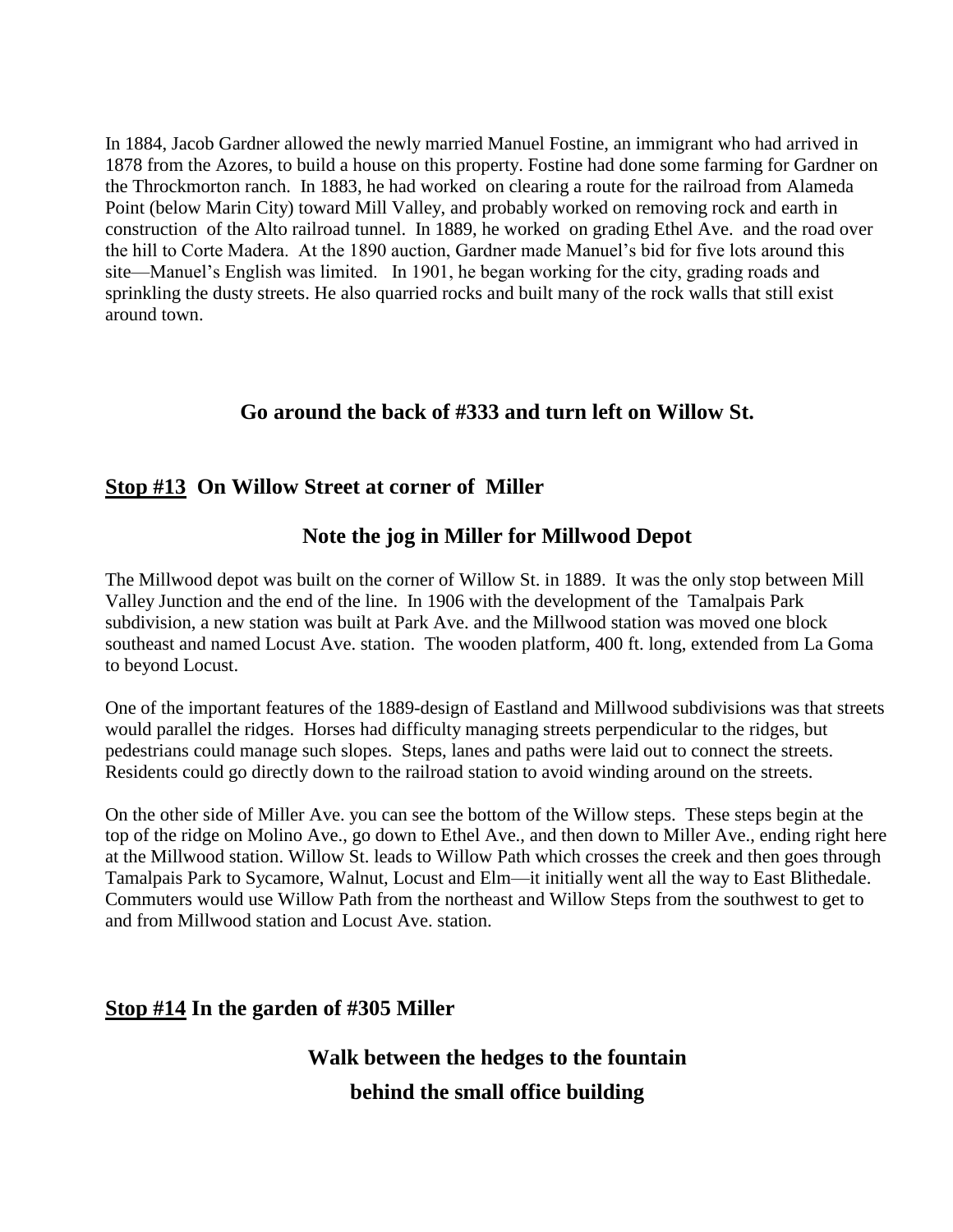In 1884, Jacob Gardner allowed the newly married Manuel Fostine, an immigrant who had arrived in 1878 from the Azores, to build a house on this property. Fostine had done some farming for Gardner on the Throckmorton ranch. In 1883, he had worked on clearing a route for the railroad from Alameda Point (below Marin City) toward Mill Valley, and probably worked on removing rock and earth in construction of the Alto railroad tunnel. In 1889, he worked on grading Ethel Ave. and the road over the hill to Corte Madera. At the 1890 auction, Gardner made Manuel's bid for five lots around this site—Manuel's English was limited. In 1901, he began working for the city, grading roads and sprinkling the dusty streets. He also quarried rocks and built many of the rock walls that still exist around town.

#### **Go around the back of #333 and turn left on Willow St.**

#### **Stop #13 On Willow Street at corner of Miller**

#### **Note the jog in Miller for Millwood Depot**

The Millwood depot was built on the corner of Willow St. in 1889. It was the only stop between Mill Valley Junction and the end of the line. In 1906 with the development of the Tamalpais Park subdivision, a new station was built at Park Ave. and the Millwood station was moved one block southeast and named Locust Ave. station. The wooden platform, 400 ft. long, extended from La Goma to beyond Locust.

One of the important features of the 1889-design of Eastland and Millwood subdivisions was that streets would parallel the ridges. Horses had difficulty managing streets perpendicular to the ridges, but pedestrians could manage such slopes. Steps, lanes and paths were laid out to connect the streets. Residents could go directly down to the railroad station to avoid winding around on the streets.

On the other side of Miller Ave. you can see the bottom of the Willow steps. These steps begin at the top of the ridge on Molino Ave., go down to Ethel Ave., and then down to Miller Ave., ending right here at the Millwood station. Willow St. leads to Willow Path which crosses the creek and then goes through Tamalpais Park to Sycamore, Walnut, Locust and Elm—it initially went all the way to East Blithedale. Commuters would use Willow Path from the northeast and Willow Steps from the southwest to get to and from Millwood station and Locust Ave. station.

#### **Stop #14 In the garden of #305 Miller**

## **Walk between the hedges to the fountain behind the small office building**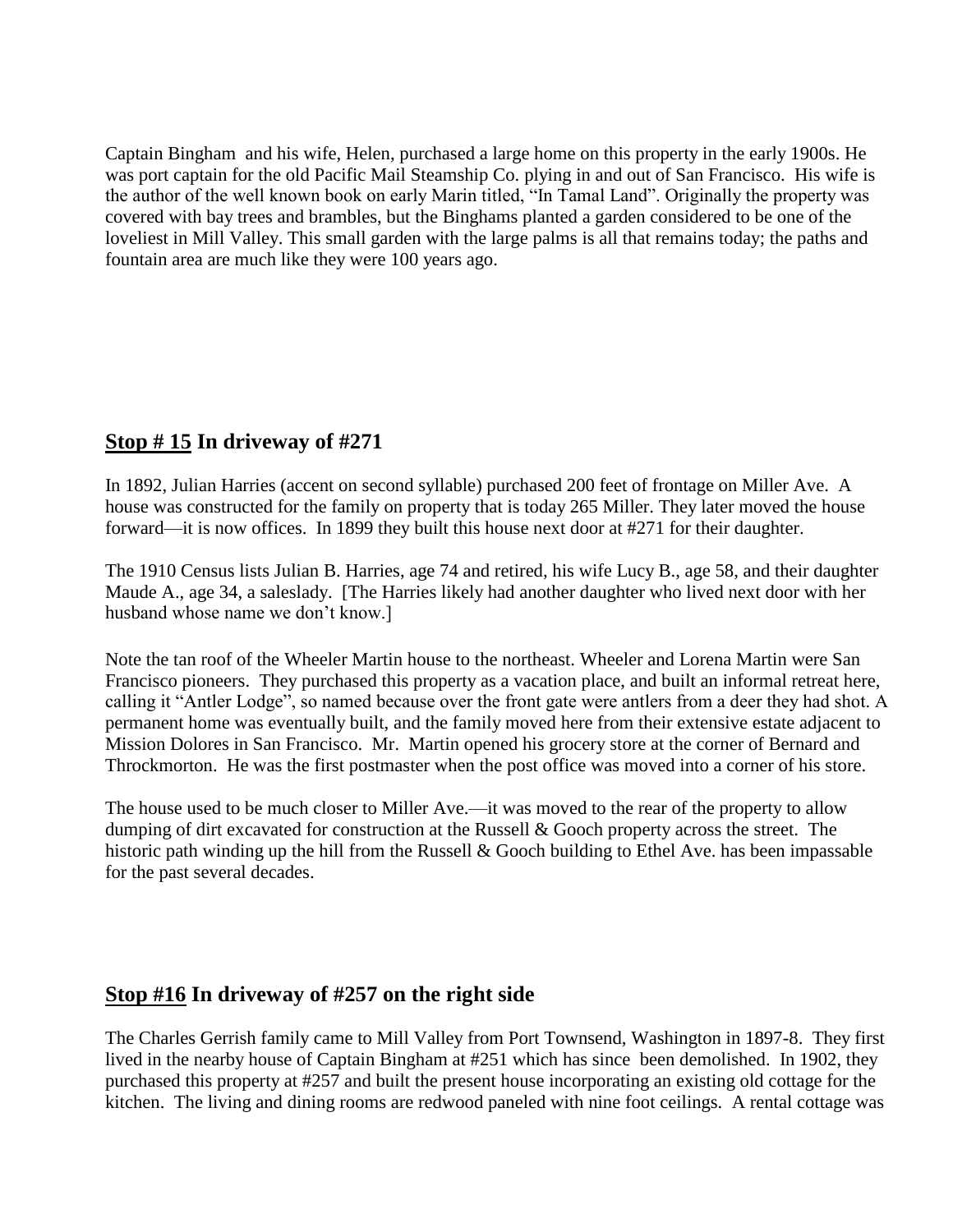Captain Bingham and his wife, Helen, purchased a large home on this property in the early 1900s. He was port captain for the old Pacific Mail Steamship Co. plying in and out of San Francisco. His wife is the author of the well known book on early Marin titled, "In Tamal Land". Originally the property was covered with bay trees and brambles, but the Binghams planted a garden considered to be one of the loveliest in Mill Valley. This small garden with the large palms is all that remains today; the paths and fountain area are much like they were 100 years ago.

### **Stop # 15 In driveway of #271**

In 1892, Julian Harries (accent on second syllable) purchased 200 feet of frontage on Miller Ave. A house was constructed for the family on property that is today 265 Miller. They later moved the house forward—it is now offices. In 1899 they built this house next door at #271 for their daughter.

The 1910 Census lists Julian B. Harries, age 74 and retired, his wife Lucy B., age 58, and their daughter Maude A., age 34, a saleslady. [The Harries likely had another daughter who lived next door with her husband whose name we don't know.]

Note the tan roof of the Wheeler Martin house to the northeast. Wheeler and Lorena Martin were San Francisco pioneers. They purchased this property as a vacation place, and built an informal retreat here, calling it "Antler Lodge", so named because over the front gate were antlers from a deer they had shot. A permanent home was eventually built, and the family moved here from their extensive estate adjacent to Mission Dolores in San Francisco. Mr. Martin opened his grocery store at the corner of Bernard and Throckmorton. He was the first postmaster when the post office was moved into a corner of his store.

The house used to be much closer to Miller Ave.—it was moved to the rear of the property to allow dumping of dirt excavated for construction at the Russell & Gooch property across the street. The historic path winding up the hill from the Russell & Gooch building to Ethel Ave. has been impassable for the past several decades.

### **Stop #16 In driveway of #257 on the right side**

The Charles Gerrish family came to Mill Valley from Port Townsend, Washington in 1897-8. They first lived in the nearby house of Captain Bingham at #251 which has since been demolished. In 1902, they purchased this property at #257 and built the present house incorporating an existing old cottage for the kitchen. The living and dining rooms are redwood paneled with nine foot ceilings. A rental cottage was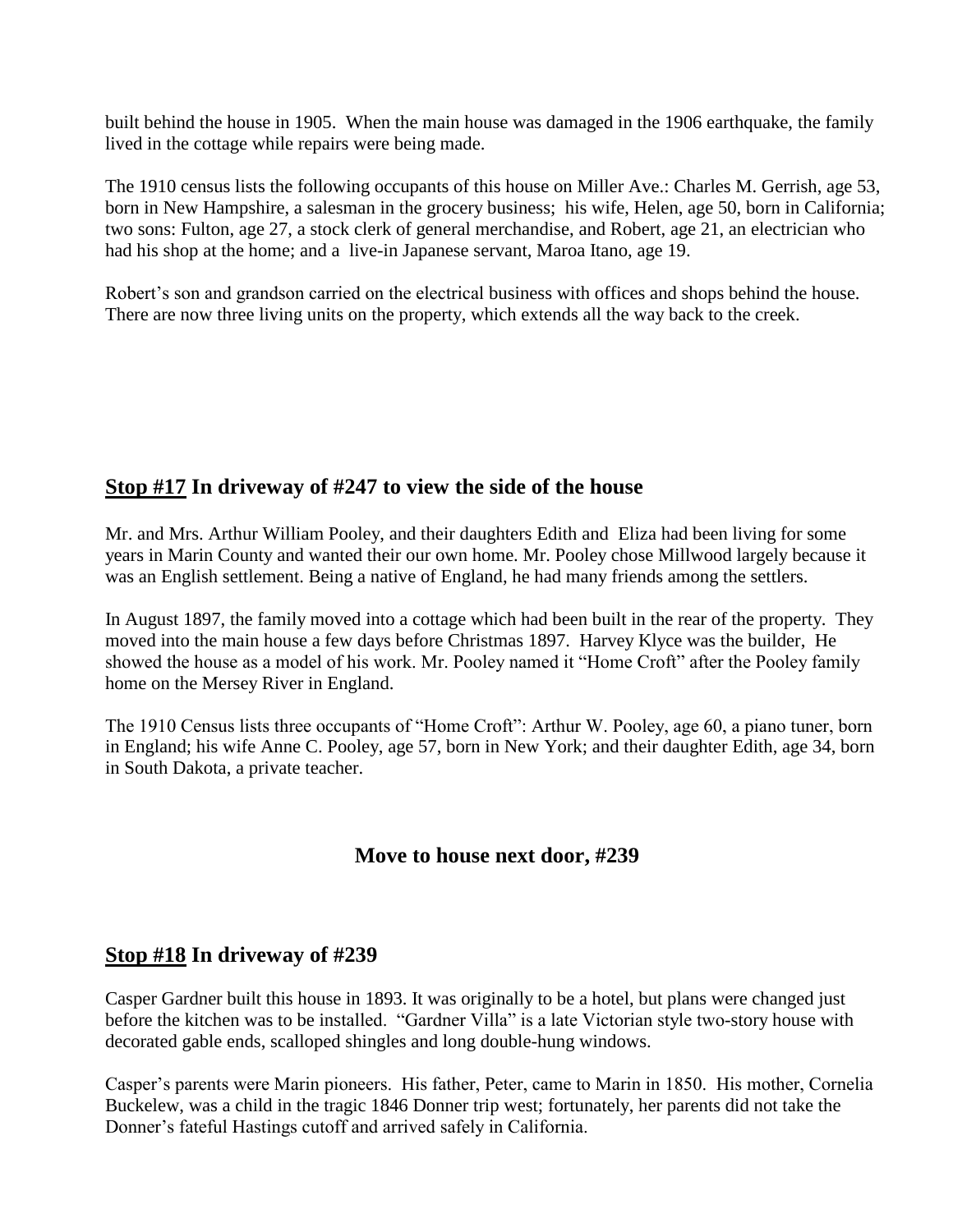built behind the house in 1905. When the main house was damaged in the 1906 earthquake, the family lived in the cottage while repairs were being made.

The 1910 census lists the following occupants of this house on Miller Ave.: Charles M. Gerrish, age 53, born in New Hampshire, a salesman in the grocery business; his wife, Helen, age 50, born in California; two sons: Fulton, age 27, a stock clerk of general merchandise, and Robert, age 21, an electrician who had his shop at the home; and a live-in Japanese servant, Maroa Itano, age 19.

Robert's son and grandson carried on the electrical business with offices and shops behind the house. There are now three living units on the property, which extends all the way back to the creek.

#### **Stop #17 In driveway of #247 to view the side of the house**

Mr. and Mrs. Arthur William Pooley, and their daughters Edith and Eliza had been living for some years in Marin County and wanted their our own home. Mr. Pooley chose Millwood largely because it was an English settlement. Being a native of England, he had many friends among the settlers.

In August 1897, the family moved into a cottage which had been built in the rear of the property. They moved into the main house a few days before Christmas 1897. Harvey Klyce was the builder, He showed the house as a model of his work. Mr. Pooley named it "Home Croft" after the Pooley family home on the Mersey River in England.

The 1910 Census lists three occupants of "Home Croft": Arthur W. Pooley, age 60, a piano tuner, born in England; his wife Anne C. Pooley, age 57, born in New York; and their daughter Edith, age 34, born in South Dakota, a private teacher.

#### **Move to house next door, #239**

#### **Stop #18 In driveway of #239**

Casper Gardner built this house in 1893. It was originally to be a hotel, but plans were changed just before the kitchen was to be installed. "Gardner Villa" is a late Victorian style two-story house with decorated gable ends, scalloped shingles and long double-hung windows.

Casper's parents were Marin pioneers. His father, Peter, came to Marin in 1850. His mother, Cornelia Buckelew, was a child in the tragic 1846 Donner trip west; fortunately, her parents did not take the Donner's fateful Hastings cutoff and arrived safely in California.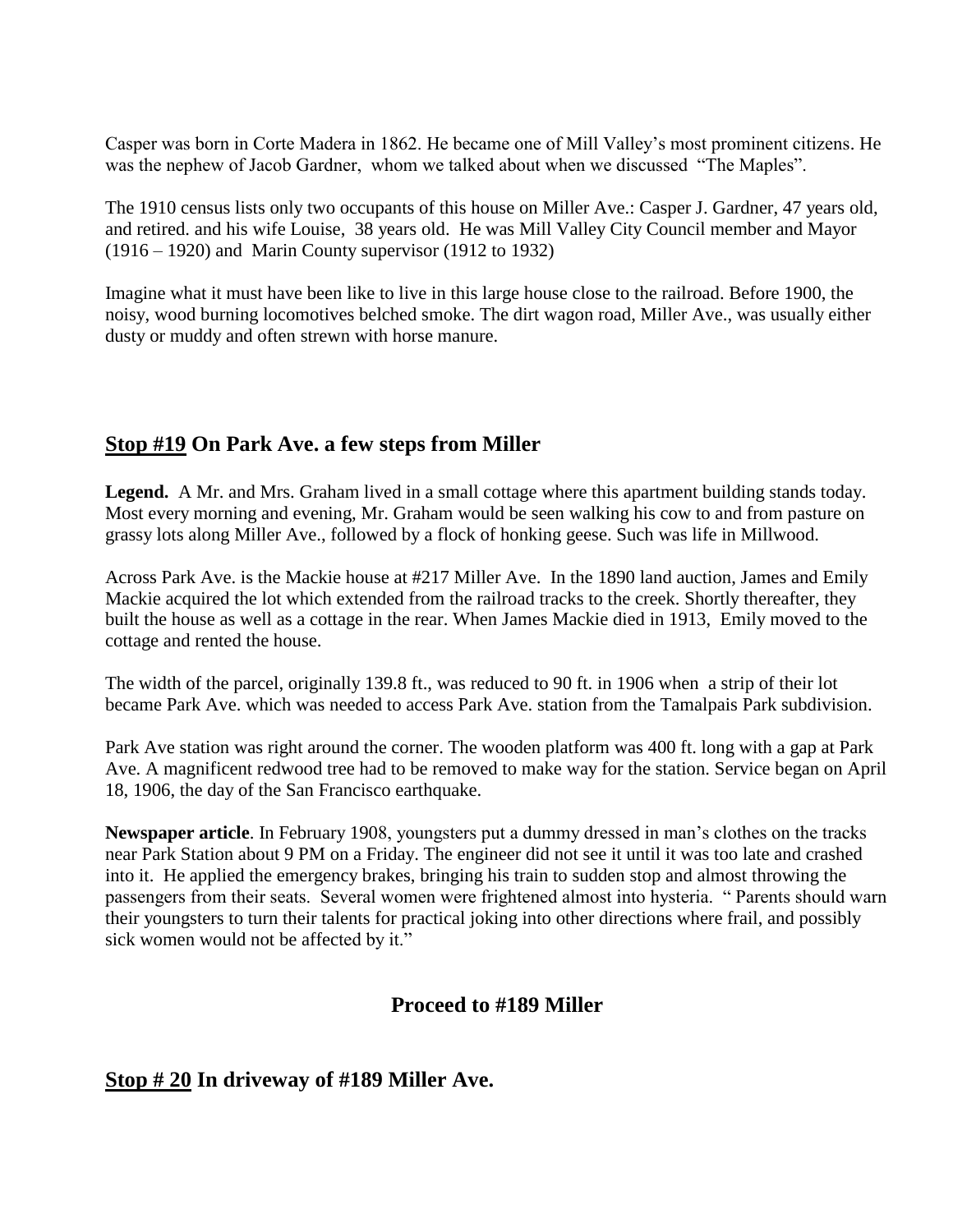Casper was born in Corte Madera in 1862. He became one of Mill Valley's most prominent citizens. He was the nephew of Jacob Gardner, whom we talked about when we discussed "The Maples".

The 1910 census lists only two occupants of this house on Miller Ave.: Casper J. Gardner, 47 years old, and retired. and his wife Louise, 38 years old. He was Mill Valley City Council member and Mayor (1916 – 1920) and Marin County supervisor (1912 to 1932)

Imagine what it must have been like to live in this large house close to the railroad. Before 1900, the noisy, wood burning locomotives belched smoke. The dirt wagon road, Miller Ave., was usually either dusty or muddy and often strewn with horse manure.

#### **Stop #19 On Park Ave. a few steps from Miller**

**Legend.** A Mr. and Mrs. Graham lived in a small cottage where this apartment building stands today. Most every morning and evening, Mr. Graham would be seen walking his cow to and from pasture on grassy lots along Miller Ave., followed by a flock of honking geese. Such was life in Millwood.

Across Park Ave. is the Mackie house at #217 Miller Ave. In the 1890 land auction, James and Emily Mackie acquired the lot which extended from the railroad tracks to the creek. Shortly thereafter, they built the house as well as a cottage in the rear. When James Mackie died in 1913, Emily moved to the cottage and rented the house.

The width of the parcel, originally 139.8 ft., was reduced to 90 ft. in 1906 when a strip of their lot became Park Ave. which was needed to access Park Ave. station from the Tamalpais Park subdivision.

Park Ave station was right around the corner. The wooden platform was 400 ft. long with a gap at Park Ave. A magnificent redwood tree had to be removed to make way for the station. Service began on April 18, 1906, the day of the San Francisco earthquake.

**Newspaper article**. In February 1908, youngsters put a dummy dressed in man's clothes on the tracks near Park Station about 9 PM on a Friday. The engineer did not see it until it was too late and crashed into it. He applied the emergency brakes, bringing his train to sudden stop and almost throwing the passengers from their seats. Several women were frightened almost into hysteria. "Parents should warn their youngsters to turn their talents for practical joking into other directions where frail, and possibly sick women would not be affected by it."

### **Proceed to #189 Miller**

#### **Stop # 20 In driveway of #189 Miller Ave.**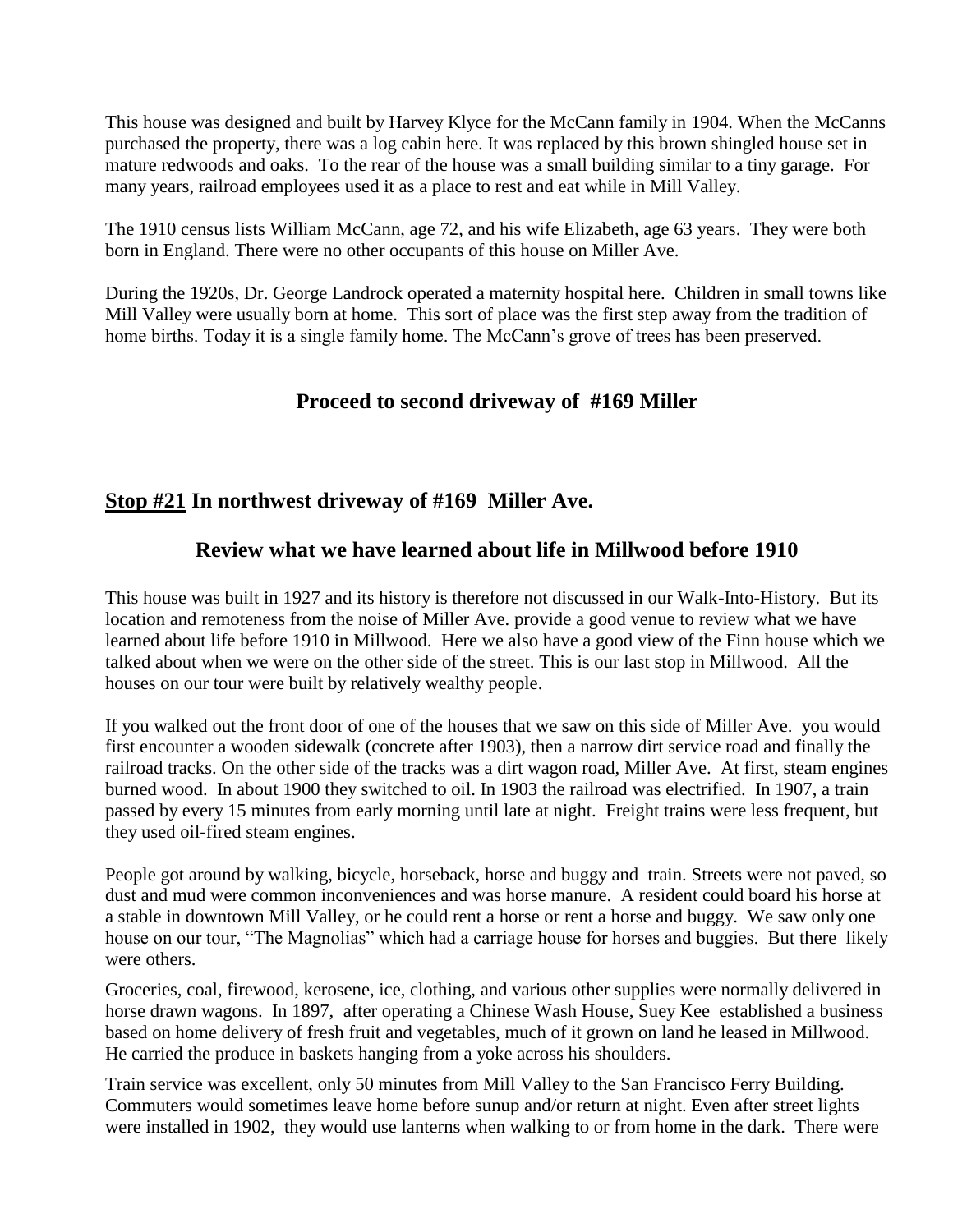This house was designed and built by Harvey Klyce for the McCann family in 1904. When the McCanns purchased the property, there was a log cabin here. It was replaced by this brown shingled house set in mature redwoods and oaks. To the rear of the house was a small building similar to a tiny garage. For many years, railroad employees used it as a place to rest and eat while in Mill Valley.

The 1910 census lists William McCann, age 72, and his wife Elizabeth, age 63 years. They were both born in England. There were no other occupants of this house on Miller Ave.

During the 1920s, Dr. George Landrock operated a maternity hospital here. Children in small towns like Mill Valley were usually born at home. This sort of place was the first step away from the tradition of home births. Today it is a single family home. The McCann's grove of trees has been preserved.

### **Proceed to second driveway of #169 Miller**

#### **Stop #21 In northwest driveway of #169 Miller Ave.**

#### **Review what we have learned about life in Millwood before 1910**

This house was built in 1927 and its history is therefore not discussed in our Walk-Into-History. But its location and remoteness from the noise of Miller Ave. provide a good venue to review what we have learned about life before 1910 in Millwood. Here we also have a good view of the Finn house which we talked about when we were on the other side of the street. This is our last stop in Millwood. All the houses on our tour were built by relatively wealthy people.

If you walked out the front door of one of the houses that we saw on this side of Miller Ave. you would first encounter a wooden sidewalk (concrete after 1903), then a narrow dirt service road and finally the railroad tracks. On the other side of the tracks was a dirt wagon road, Miller Ave. At first, steam engines burned wood. In about 1900 they switched to oil. In 1903 the railroad was electrified. In 1907, a train passed by every 15 minutes from early morning until late at night. Freight trains were less frequent, but they used oil-fired steam engines.

People got around by walking, bicycle, horseback, horse and buggy and train. Streets were not paved, so dust and mud were common inconveniences and was horse manure. A resident could board his horse at a stable in downtown Mill Valley, or he could rent a horse or rent a horse and buggy. We saw only one house on our tour, "The Magnolias" which had a carriage house for horses and buggies. But there likely were others.

Groceries, coal, firewood, kerosene, ice, clothing, and various other supplies were normally delivered in horse drawn wagons. In 1897, after operating a Chinese Wash House, Suey Kee established a business based on home delivery of fresh fruit and vegetables, much of it grown on land he leased in Millwood. He carried the produce in baskets hanging from a yoke across his shoulders.

Train service was excellent, only 50 minutes from Mill Valley to the San Francisco Ferry Building. Commuters would sometimes leave home before sunup and/or return at night. Even after street lights were installed in 1902, they would use lanterns when walking to or from home in the dark. There were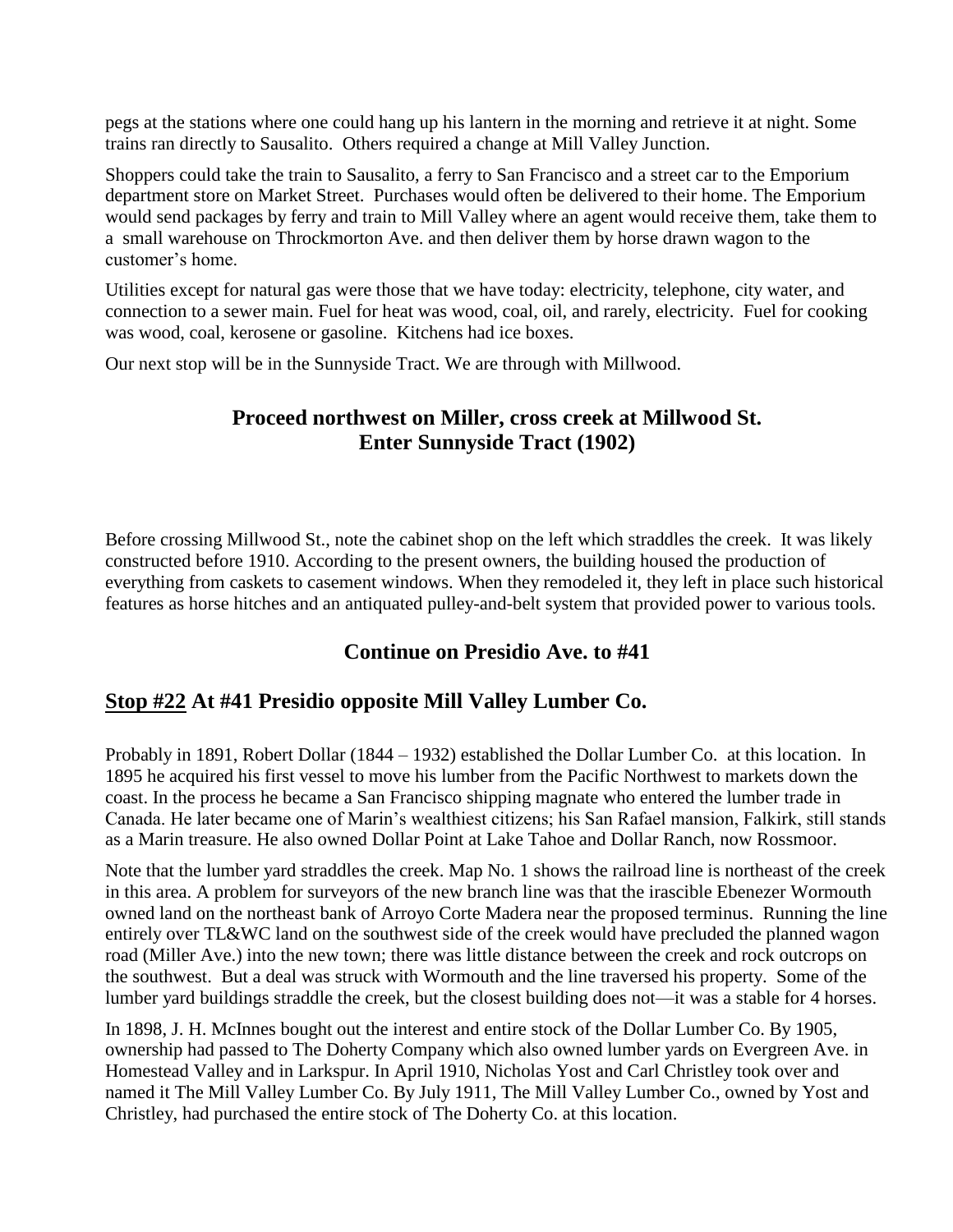pegs at the stations where one could hang up his lantern in the morning and retrieve it at night. Some trains ran directly to Sausalito. Others required a change at Mill Valley Junction.

Shoppers could take the train to Sausalito, a ferry to San Francisco and a street car to the Emporium department store on Market Street. Purchases would often be delivered to their home. The Emporium would send packages by ferry and train to Mill Valley where an agent would receive them, take them to a small warehouse on Throckmorton Ave. and then deliver them by horse drawn wagon to the customer's home.

Utilities except for natural gas were those that we have today: electricity, telephone, city water, and connection to a sewer main. Fuel for heat was wood, coal, oil, and rarely, electricity. Fuel for cooking was wood, coal, kerosene or gasoline. Kitchens had ice boxes.

Our next stop will be in the Sunnyside Tract. We are through with Millwood.

#### **Proceed northwest on Miller, cross creek at Millwood St. Enter Sunnyside Tract (1902)**

Before crossing Millwood St., note the cabinet shop on the left which straddles the creek. It was likely constructed before 1910. According to the present owners, the building housed the production of everything from caskets to casement windows. When they remodeled it, they left in place such historical features as horse hitches and an antiquated pulley-and-belt system that provided power to various tools.

#### **Continue on Presidio Ave. to #41**

#### **Stop #22 At #41 Presidio opposite Mill Valley Lumber Co.**

Probably in 1891, Robert Dollar (1844 – 1932) established the Dollar Lumber Co. at this location. In 1895 he acquired his first vessel to move his lumber from the Pacific Northwest to markets down the coast. In the process he became a San Francisco shipping magnate who entered the lumber trade in Canada. He later became one of Marin's wealthiest citizens; his San Rafael mansion, Falkirk, still stands as a Marin treasure. He also owned Dollar Point at Lake Tahoe and Dollar Ranch, now Rossmoor.

Note that the lumber yard straddles the creek. Map No. 1 shows the railroad line is northeast of the creek in this area. A problem for surveyors of the new branch line was that the irascible Ebenezer Wormouth owned land on the northeast bank of Arroyo Corte Madera near the proposed terminus. Running the line entirely over TL&WC land on the southwest side of the creek would have precluded the planned wagon road (Miller Ave.) into the new town; there was little distance between the creek and rock outcrops on the southwest. But a deal was struck with Wormouth and the line traversed his property. Some of the lumber yard buildings straddle the creek, but the closest building does not—it was a stable for 4 horses.

In 1898, J. H. McInnes bought out the interest and entire stock of the Dollar Lumber Co. By 1905, ownership had passed to The Doherty Company which also owned lumber yards on Evergreen Ave. in Homestead Valley and in Larkspur. In April 1910, Nicholas Yost and Carl Christley took over and named it The Mill Valley Lumber Co. By July 1911, The Mill Valley Lumber Co., owned by Yost and Christley, had purchased the entire stock of The Doherty Co. at this location.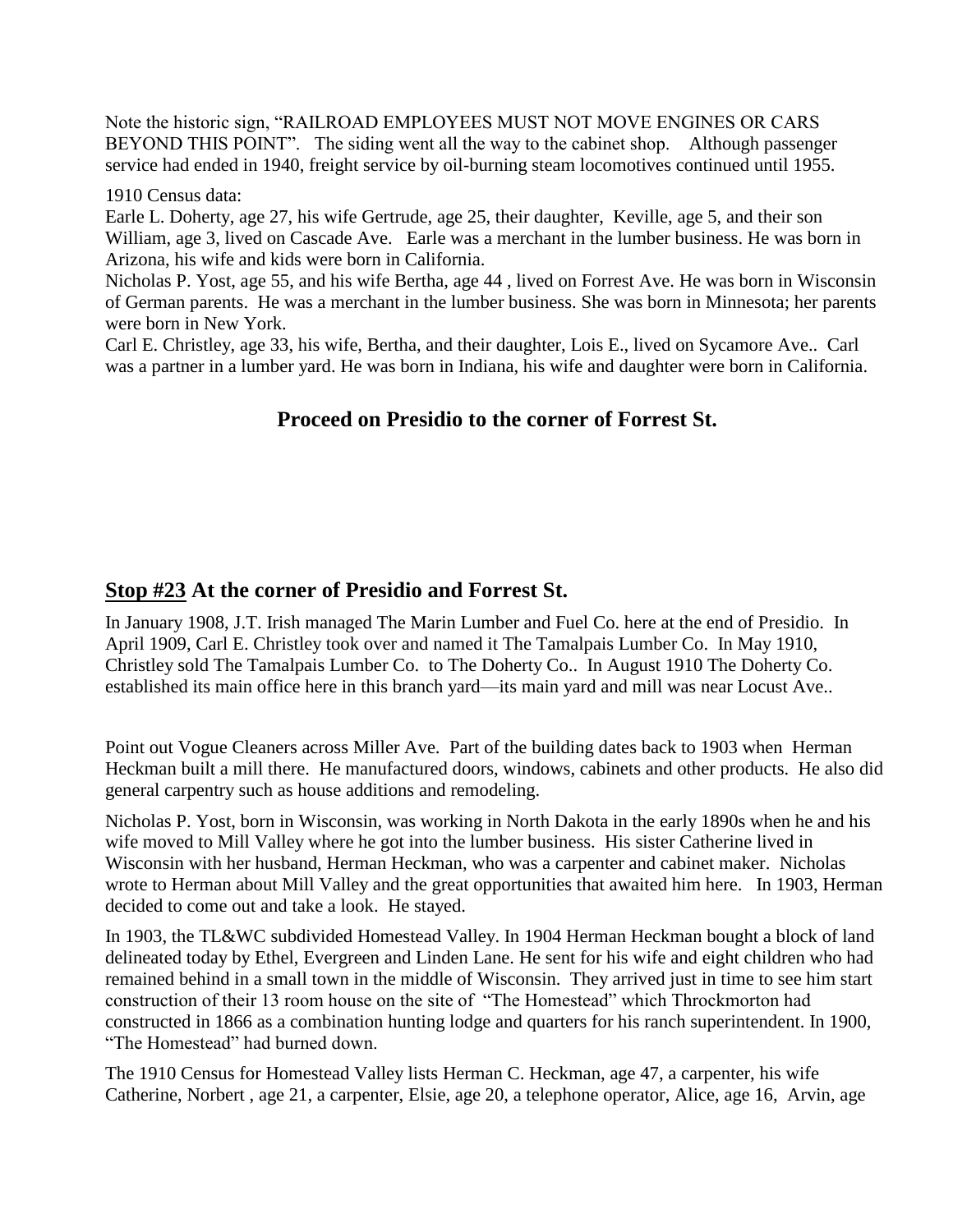Note the historic sign, "RAILROAD EMPLOYEES MUST NOT MOVE ENGINES OR CARS BEYOND THIS POINT". The siding went all the way to the cabinet shop. Although passenger service had ended in 1940, freight service by oil-burning steam locomotives continued until 1955.

#### 1910 Census data:

Earle L. Doherty, age 27, his wife Gertrude, age 25, their daughter, Keville, age 5, and their son William, age 3, lived on Cascade Ave. Earle was a merchant in the lumber business. He was born in Arizona, his wife and kids were born in California.

Nicholas P. Yost, age 55, and his wife Bertha, age 44 , lived on Forrest Ave. He was born in Wisconsin of German parents. He was a merchant in the lumber business. She was born in Minnesota; her parents were born in New York.

Carl E. Christley, age 33, his wife, Bertha, and their daughter, Lois E., lived on Sycamore Ave.. Carl was a partner in a lumber yard. He was born in Indiana, his wife and daughter were born in California.

#### **Proceed on Presidio to the corner of Forrest St.**

#### **Stop #23 At the corner of Presidio and Forrest St.**

In January 1908, J.T. Irish managed The Marin Lumber and Fuel Co. here at the end of Presidio. In April 1909, Carl E. Christley took over and named it The Tamalpais Lumber Co. In May 1910, Christley sold The Tamalpais Lumber Co. to The Doherty Co.. In August 1910 The Doherty Co. established its main office here in this branch yard—its main yard and mill was near Locust Ave..

Point out Vogue Cleaners across Miller Ave. Part of the building dates back to 1903 when Herman Heckman built a mill there. He manufactured doors, windows, cabinets and other products. He also did general carpentry such as house additions and remodeling.

Nicholas P. Yost, born in Wisconsin, was working in North Dakota in the early 1890s when he and his wife moved to Mill Valley where he got into the lumber business. His sister Catherine lived in Wisconsin with her husband, Herman Heckman, who was a carpenter and cabinet maker. Nicholas wrote to Herman about Mill Valley and the great opportunities that awaited him here. In 1903, Herman decided to come out and take a look. He stayed.

In 1903, the TL&WC subdivided Homestead Valley. In 1904 Herman Heckman bought a block of land delineated today by Ethel, Evergreen and Linden Lane. He sent for his wife and eight children who had remained behind in a small town in the middle of Wisconsin. They arrived just in time to see him start construction of their 13 room house on the site of "The Homestead" which Throckmorton had constructed in 1866 as a combination hunting lodge and quarters for his ranch superintendent. In 1900, "The Homestead" had burned down.

The 1910 Census for Homestead Valley lists Herman C. Heckman, age 47, a carpenter, his wife Catherine, Norbert , age 21, a carpenter, Elsie, age 20, a telephone operator, Alice, age 16, Arvin, age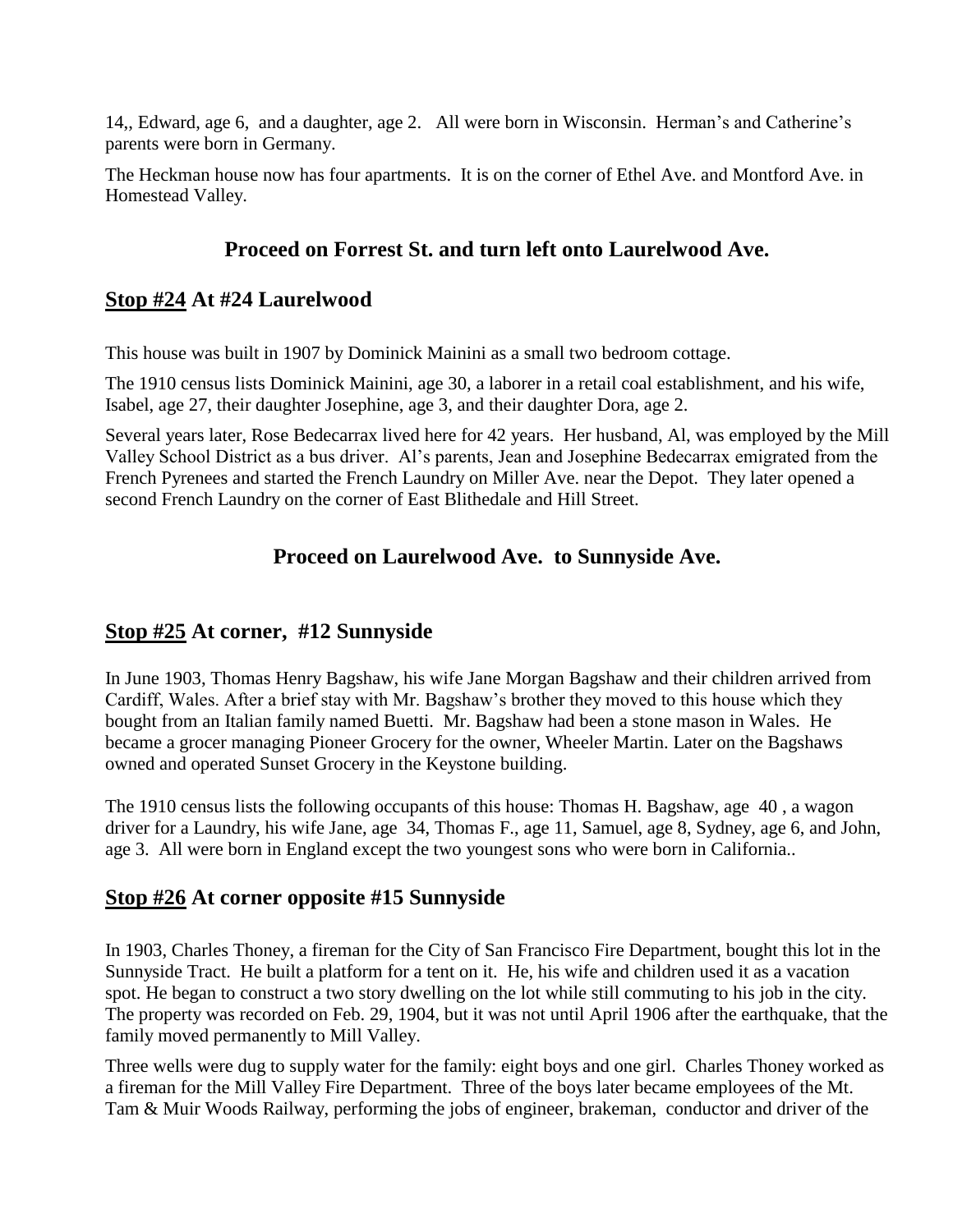14,, Edward, age 6, and a daughter, age 2. All were born in Wisconsin. Herman's and Catherine's parents were born in Germany.

The Heckman house now has four apartments. It is on the corner of Ethel Ave. and Montford Ave. in Homestead Valley.

#### **Proceed on Forrest St. and turn left onto Laurelwood Ave.**

#### **Stop #24 At #24 Laurelwood**

This house was built in 1907 by Dominick Mainini as a small two bedroom cottage.

The 1910 census lists Dominick Mainini, age 30, a laborer in a retail coal establishment, and his wife, Isabel, age 27, their daughter Josephine, age 3, and their daughter Dora, age 2.

Several years later, Rose Bedecarrax lived here for 42 years. Her husband, Al, was employed by the Mill Valley School District as a bus driver. Al's parents, Jean and Josephine Bedecarrax emigrated from the French Pyrenees and started the French Laundry on Miller Ave. near the Depot. They later opened a second French Laundry on the corner of East Blithedale and Hill Street.

#### **Proceed on Laurelwood Ave. to Sunnyside Ave.**

#### **Stop #25 At corner, #12 Sunnyside**

In June 1903, Thomas Henry Bagshaw, his wife Jane Morgan Bagshaw and their children arrived from Cardiff, Wales. After a brief stay with Mr. Bagshaw's brother they moved to this house which they bought from an Italian family named Buetti. Mr. Bagshaw had been a stone mason in Wales. He became a grocer managing Pioneer Grocery for the owner, Wheeler Martin. Later on the Bagshaws owned and operated Sunset Grocery in the Keystone building.

The 1910 census lists the following occupants of this house: Thomas H. Bagshaw, age 40 , a wagon driver for a Laundry, his wife Jane, age 34, Thomas F., age 11, Samuel, age 8, Sydney, age 6, and John, age 3. All were born in England except the two youngest sons who were born in California..

### **Stop #26 At corner opposite #15 Sunnyside**

In 1903, Charles Thoney, a fireman for the City of San Francisco Fire Department, bought this lot in the Sunnyside Tract. He built a platform for a tent on it. He, his wife and children used it as a vacation spot. He began to construct a two story dwelling on the lot while still commuting to his job in the city. The property was recorded on Feb. 29, 1904, but it was not until April 1906 after the earthquake, that the family moved permanently to Mill Valley.

Three wells were dug to supply water for the family: eight boys and one girl. Charles Thoney worked as a fireman for the Mill Valley Fire Department. Three of the boys later became employees of the Mt. Tam & Muir Woods Railway, performing the jobs of engineer, brakeman, conductor and driver of the